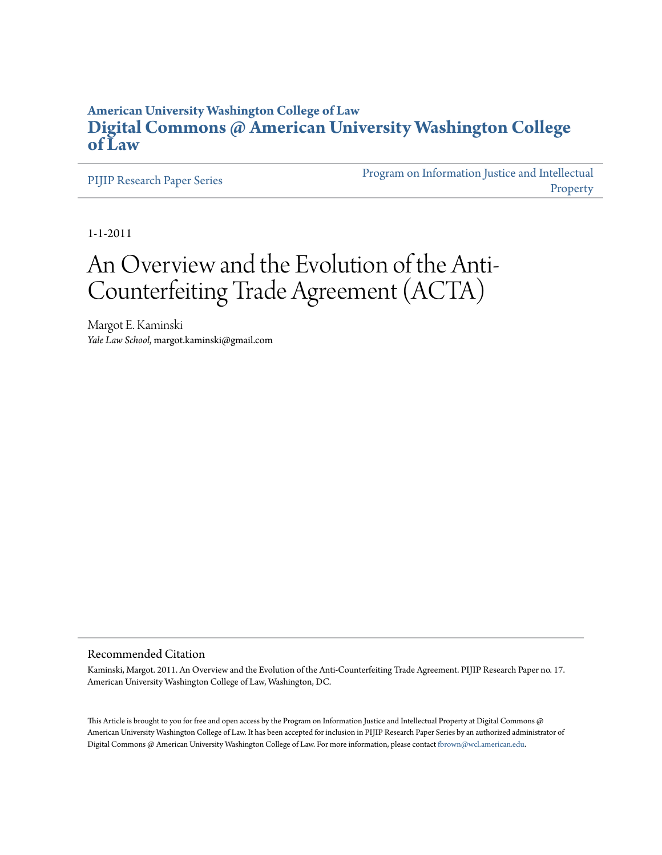## **American University Washington College of Law [Digital Commons @ American University Washington College](http://digitalcommons.wcl.american.edu) [of Law](http://digitalcommons.wcl.american.edu)**

[PIJIP Research Paper Series](http://digitalcommons.wcl.american.edu/research)

[Program on Information Justice and Intellectual](http://digitalcommons.wcl.american.edu/pijip) [Property](http://digitalcommons.wcl.american.edu/pijip)

1-1-2011

# An Overview and the Evolution of the Anti-Counterfeiting Trade Agreement (ACTA)

Margot E. Kaminski *Yale Law School*, margot.kaminski@gmail.com

#### Recommended Citation

Kaminski, Margot. 2011. An Overview and the Evolution of the Anti-Counterfeiting Trade Agreement. PIJIP Research Paper no. 17. American University Washington College of Law, Washington, DC.

This Article is brought to you for free and open access by the Program on Information Justice and Intellectual Property at Digital Commons  $@$ American University Washington College of Law. It has been accepted for inclusion in PIJIP Research Paper Series by an authorized administrator of Digital Commons @ American University Washington College of Law. For more information, please contact [fbrown@wcl.american.edu](mailto:fbrown@wcl.american.edu).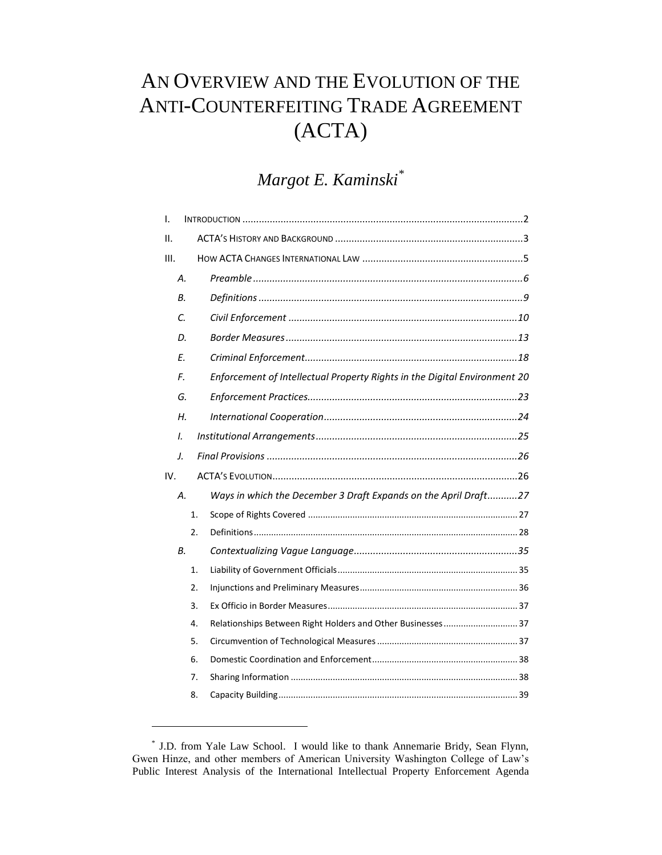# AN OVERVIEW AND THE EVOLUTION OF THE ANTI-COUNTERFEITING TRADE AGREEMENT (ACTA)

# *Margot E. Kaminski\**

| I.  |               |    |                                                                           |  |
|-----|---------------|----|---------------------------------------------------------------------------|--|
| П.  |               |    |                                                                           |  |
| Ш.  |               |    |                                                                           |  |
|     | Α.            |    |                                                                           |  |
|     | В.            |    |                                                                           |  |
|     | C.            |    |                                                                           |  |
|     | D.            |    |                                                                           |  |
|     | E.            |    |                                                                           |  |
|     | F.            |    | Enforcement of Intellectual Property Rights in the Digital Environment 20 |  |
|     | G.            |    |                                                                           |  |
|     | Н.            |    |                                                                           |  |
|     | $\mathcal{L}$ |    |                                                                           |  |
|     | J.            |    |                                                                           |  |
| IV. |               |    |                                                                           |  |
|     | А.            |    | Ways in which the December 3 Draft Expands on the April Draft27           |  |
|     |               | 1. |                                                                           |  |
|     |               | 2. |                                                                           |  |
|     | В.            |    |                                                                           |  |
|     |               | 1. |                                                                           |  |
|     |               | 2. |                                                                           |  |
|     |               | 3. |                                                                           |  |
|     |               | 4. | Relationships Between Right Holders and Other Businesses  37              |  |
|     |               | 5. |                                                                           |  |
|     |               | 6. |                                                                           |  |
|     |               | 7. |                                                                           |  |
|     |               | 8. |                                                                           |  |

<sup>\*</sup> J.D. from Yale Law School. I would like to thank Annemarie Bridy, Sean Flynn, Gwen Hinze, and other members of American University Washington College of Law's Public Interest Analysis of the International Intellectual Property Enforcement Agenda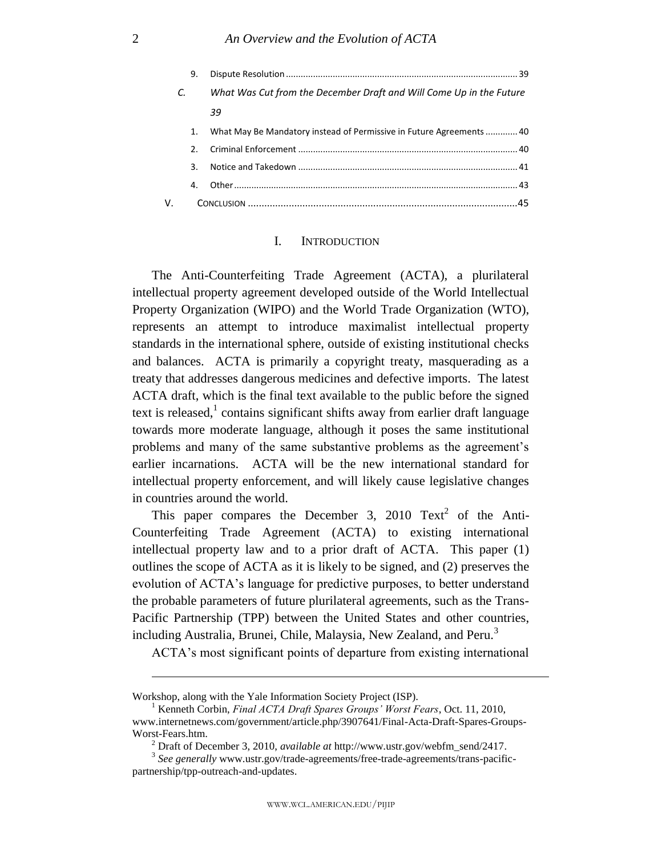|    | 9. |                                                                      |  |
|----|----|----------------------------------------------------------------------|--|
|    |    | What Was Cut from the December Draft and Will Come Up in the Future  |  |
|    |    | 39                                                                   |  |
|    | 1. | What May Be Mandatory instead of Permissive in Future Agreements  40 |  |
|    | 2. |                                                                      |  |
|    | 3. |                                                                      |  |
|    | 4. |                                                                      |  |
| V. |    |                                                                      |  |
|    |    |                                                                      |  |

## I. INTRODUCTION

<span id="page-2-0"></span>The Anti-Counterfeiting Trade Agreement (ACTA), a plurilateral intellectual property agreement developed outside of the World Intellectual Property Organization (WIPO) and the World Trade Organization (WTO), represents an attempt to introduce maximalist intellectual property standards in the international sphere, outside of existing institutional checks and balances. ACTA is primarily a copyright treaty, masquerading as a treaty that addresses dangerous medicines and defective imports. The latest ACTA draft, which is the final text available to the public before the signed text is released,<sup>1</sup> contains significant shifts away from earlier draft language towards more moderate language, although it poses the same institutional problems and many of the same substantive problems as the agreement's earlier incarnations. ACTA will be the new international standard for intellectual property enforcement, and will likely cause legislative changes in countries around the world.

This paper compares the December 3, 2010  $Text^2$  of the Anti-Counterfeiting Trade Agreement (ACTA) to existing international intellectual property law and to a prior draft of ACTA. This paper (1) outlines the scope of ACTA as it is likely to be signed, and (2) preserves the evolution of ACTA's language for predictive purposes, to better understand the probable parameters of future plurilateral agreements, such as the Trans-Pacific Partnership (TPP) between the United States and other countries, including Australia, Brunei, Chile, Malaysia, New Zealand, and Peru.<sup>3</sup>

ACTA's most significant points of departure from existing international

Workshop, along with the Yale Information Society Project (ISP).

<sup>1</sup> Kenneth Corbin, *Final ACTA Draft Spares Groups' Worst Fears*, Oct. 11, 2010, www.internetnews.com/government/article.php/3907641/Final-Acta-Draft-Spares-Groups-Worst-Fears.htm.

<sup>2</sup> Draft of December 3, 2010, *available at* http://www.ustr.gov/webfm\_send/2417.

<sup>&</sup>lt;sup>3</sup> See generally www.ustr.gov/trade-agreements/free-trade-agreements/trans-pacificpartnership/tpp-outreach-and-updates.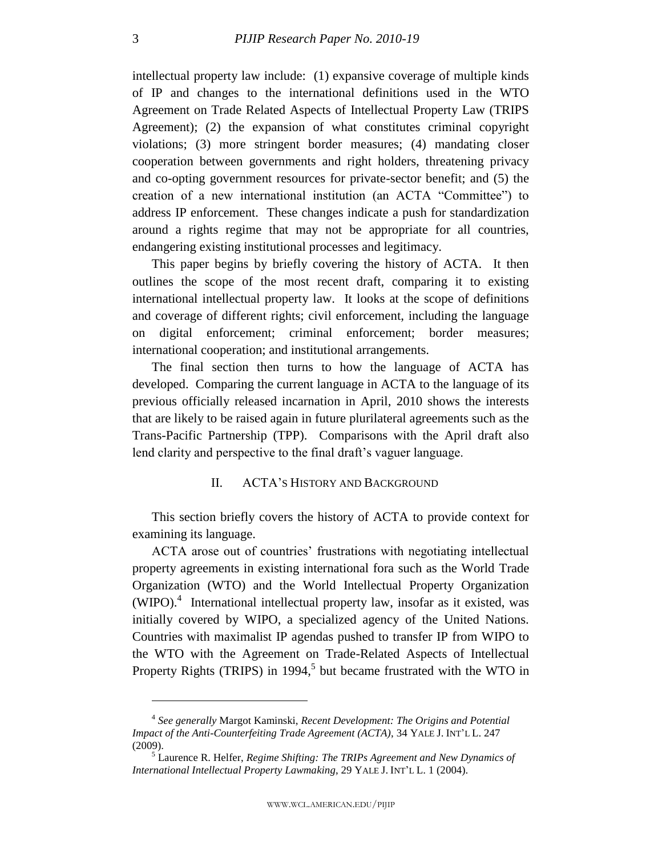intellectual property law include: (1) expansive coverage of multiple kinds of IP and changes to the international definitions used in the WTO Agreement on Trade Related Aspects of Intellectual Property Law (TRIPS Agreement); (2) the expansion of what constitutes criminal copyright violations; (3) more stringent border measures; (4) mandating closer cooperation between governments and right holders, threatening privacy and co-opting government resources for private-sector benefit; and (5) the creation of a new international institution (an ACTA "Committee") to address IP enforcement. These changes indicate a push for standardization around a rights regime that may not be appropriate for all countries, endangering existing institutional processes and legitimacy.

This paper begins by briefly covering the history of ACTA. It then outlines the scope of the most recent draft, comparing it to existing international intellectual property law. It looks at the scope of definitions and coverage of different rights; civil enforcement, including the language on digital enforcement; criminal enforcement; border measures; international cooperation; and institutional arrangements.

The final section then turns to how the language of ACTA has developed. Comparing the current language in ACTA to the language of its previous officially released incarnation in April, 2010 shows the interests that are likely to be raised again in future plurilateral agreements such as the Trans-Pacific Partnership (TPP). Comparisons with the April draft also lend clarity and perspective to the final draft's vaguer language.

## II. ACTA'S HISTORY AND BACKGROUND

<span id="page-3-0"></span>This section briefly covers the history of ACTA to provide context for examining its language.

ACTA arose out of countries' frustrations with negotiating intellectual property agreements in existing international fora such as the World Trade Organization (WTO) and the World Intellectual Property Organization  $(WIPO)<sup>4</sup>$  International intellectual property law, insofar as it existed, was initially covered by WIPO, a specialized agency of the United Nations. Countries with maximalist IP agendas pushed to transfer IP from WIPO to the WTO with the Agreement on Trade-Related Aspects of Intellectual Property Rights (TRIPS) in 1994,<sup>5</sup> but became frustrated with the WTO in

<span id="page-3-1"></span><sup>4</sup> *See generally* Margot Kaminski, *Recent Development: The Origins and Potential Impact of the Anti-Counterfeiting Trade Agreement (ACTA)*, 34 YALE J. INT'L L. 247 (2009).

<sup>5</sup> Laurence R. Helfer, *Regime Shifting: The TRIPs Agreement and New Dynamics of International Intellectual Property Lawmaking*, 29 YALE J. INT'L L. 1 (2004).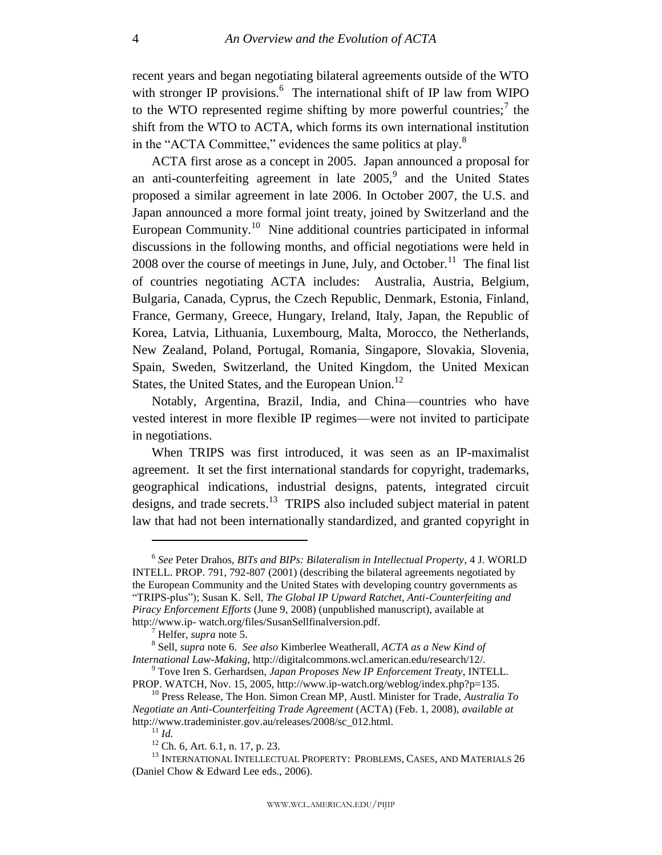<span id="page-4-0"></span>recent years and began negotiating bilateral agreements outside of the WTO with stronger IP provisions.<sup>6</sup> The international shift of IP law from WIPO to the WTO represented regime shifting by more powerful countries;<sup>7</sup> the shift from the WTO to ACTA, which forms its own international institution in the "ACTA Committee," evidences the same politics at play. $8$ 

ACTA first arose as a concept in 2005. Japan announced a proposal for an anti-counterfeiting agreement in late  $2005$ ,<sup>9</sup> and the United States proposed a similar agreement in late 2006. In October 2007, the U.S. and Japan announced a more formal joint treaty, joined by Switzerland and the European Community.<sup>10</sup> Nine additional countries participated in informal discussions in the following months, and official negotiations were held in 2008 over the course of meetings in June, July, and October.<sup>11</sup> The final list of countries negotiating ACTA includes: Australia, Austria, Belgium, Bulgaria, Canada, Cyprus, the Czech Republic, Denmark, Estonia, Finland, France, Germany, Greece, Hungary, Ireland, Italy, Japan, the Republic of Korea, Latvia, Lithuania, Luxembourg, Malta, Morocco, the Netherlands, New Zealand, Poland, Portugal, Romania, Singapore, Slovakia, Slovenia, Spain, Sweden, Switzerland, the United Kingdom, the United Mexican States, the United States, and the European Union.<sup>12</sup>

Notably, Argentina, Brazil, India, and China—countries who have vested interest in more flexible IP regimes—were not invited to participate in negotiations.

When TRIPS was first introduced, it was seen as an IP-maximalist agreement. It set the first international standards for copyright, trademarks, geographical indications, industrial designs, patents, integrated circuit designs, and trade secrets.<sup>13</sup> TRIPS also included subject material in patent law that had not been internationally standardized, and granted copyright in

<sup>6</sup> *See* Peter Drahos, *BITs and BIPs: Bilateralism in Intellectual Property*, 4 J. WORLD INTELL. PROP. 791, 792-807 (2001) (describing the bilateral agreements negotiated by the European Community and the United States with developing country governments as ―TRIPS-plus‖); Susan K. Sell, *The Global IP Upward Ratchet, Anti-Counterfeiting and Piracy Enforcement Efforts* (June 9, 2008) (unpublished manuscript), available at http://www.ip- watch.org/files/SusanSellfinalversion.pdf.

<sup>7</sup> Helfer, *supra* not[e 5.](#page-3-1)

<sup>8</sup> Sell, *supra* not[e 6.](#page-4-0) *See also* Kimberlee Weatherall, *ACTA as a New Kind of International Law-Making*, http://digitalcommons.wcl.american.edu/research/12/.

<sup>9</sup> Tove Iren S. Gerhardsen, *Japan Proposes New IP Enforcement Treaty*, INTELL. PROP. WATCH, Nov. 15, 2005, http://www.ip-watch.org/weblog/index.php?p=135.

<sup>10</sup> Press Release, The Hon. Simon Crean MP, Austl. Minister for Trade, *Australia To Negotiate an Anti-Counterfeiting Trade Agreement* (ACTA) (Feb. 1, 2008), *available at* http://www.trademinister.gov.au/releases/2008/sc\_012.html.

<sup>11</sup> *Id.*

 $12$  Ch. 6, Art. 6.1, n. 17, p. 23.

<sup>&</sup>lt;sup>13</sup> INTERNATIONAL INTELLECTUAL PROPERTY: PROBLEMS, CASES, AND MATERIALS 26 (Daniel Chow & Edward Lee eds., 2006).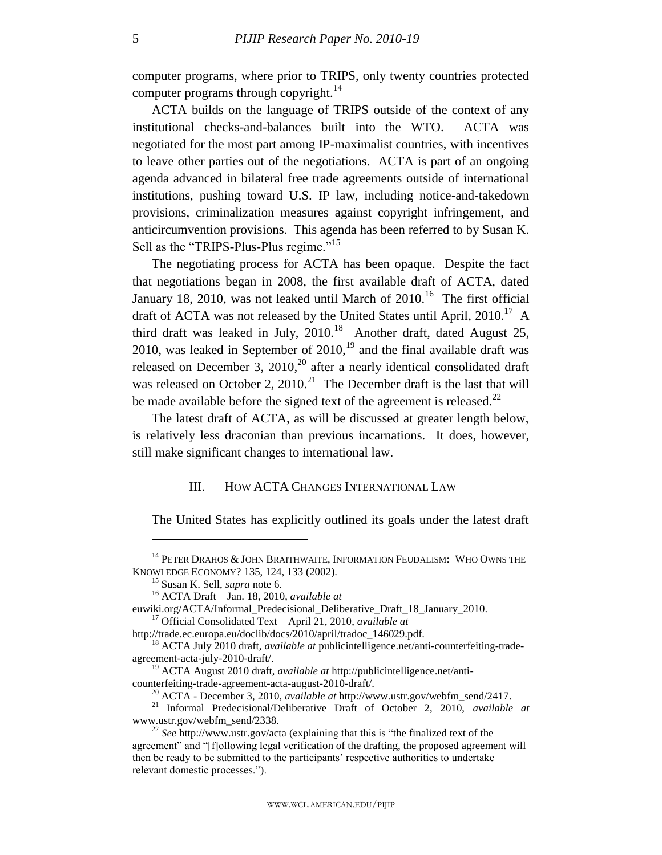<span id="page-5-2"></span>computer programs, where prior to TRIPS, only twenty countries protected computer programs through copyright.<sup>14</sup>

ACTA builds on the language of TRIPS outside of the context of any institutional checks-and-balances built into the WTO. ACTA was negotiated for the most part among IP-maximalist countries, with incentives to leave other parties out of the negotiations. ACTA is part of an ongoing agenda advanced in bilateral free trade agreements outside of international institutions, pushing toward U.S. IP law, including notice-and-takedown provisions, criminalization measures against copyright infringement, and anticircumvention provisions. This agenda has been referred to by Susan K. Sell as the "TRIPS-Plus-Plus regime."<sup>15</sup>

The negotiating process for ACTA has been opaque. Despite the fact that negotiations began in 2008, the first available draft of ACTA, dated January 18, 2010, was not leaked until March of  $2010$ .<sup>16</sup> The first official draft of ACTA was not released by the United States until April,  $2010$ .<sup>17</sup> A third draft was leaked in July,  $2010$ .<sup>18</sup> Another draft, dated August 25, 2010, was leaked in September of  $2010<sup>19</sup>$  and the final available draft was released on December 3, 2010,<sup>20</sup> after a nearly identical consolidated draft was released on October 2,  $2010.<sup>21</sup>$  The December draft is the last that will be made available before the signed text of the agreement is released.<sup>22</sup>

The latest draft of ACTA, as will be discussed at greater length below, is relatively less draconian than previous incarnations. It does, however, still make significant changes to international law.

## <span id="page-5-3"></span><span id="page-5-1"></span>III. HOW ACTA CHANGES INTERNATIONAL LAW

<span id="page-5-0"></span>The United States has explicitly outlined its goals under the latest draft

 $\overline{a}$ 

http://trade.ec.europa.eu/doclib/docs/2010/april/tradoc\_146029.pdf.

<sup>&</sup>lt;sup>14</sup> PETER DRAHOS & JOHN BRAITHWAITE, INFORMATION FEUDALISM: WHO OWNS THE KNOWLEDGE ECONOMY? 135, 124, 133 (2002).

<sup>15</sup> Susan K. Sell, *supra* note [6.](#page-4-0)

<sup>16</sup> ACTA Draft – Jan. 18, 2010, *available at* 

euwiki.org/ACTA/Informal\_Predecisional\_Deliberative\_Draft\_18\_January\_2010. <sup>17</sup> Official Consolidated Text – April 21, 2010, *available at*

<sup>18</sup> ACTA July 2010 draft, *available at* publicintelligence.net/anti-counterfeiting-tradeagreement-acta-july-2010-draft/.

<sup>19</sup> ACTA August 2010 draft, *available at* http://publicintelligence.net/anticounterfeiting-trade-agreement-acta-august-2010-draft/.

<sup>20</sup> ACTA - December 3, 2010, *available at* http://www.ustr.gov/webfm\_send/2417.

<sup>21</sup> Informal Predecisional/Deliberative Draft of October 2, 2010, *available at* www.ustr.gov/webfm\_send/2338.

 $22$  *See* http://www.ustr.gov/acta (explaining that this is "the finalized text of the agreement" and "[f]ollowing legal verification of the drafting, the proposed agreement will then be ready to be submitted to the participants' respective authorities to undertake relevant domestic processes.").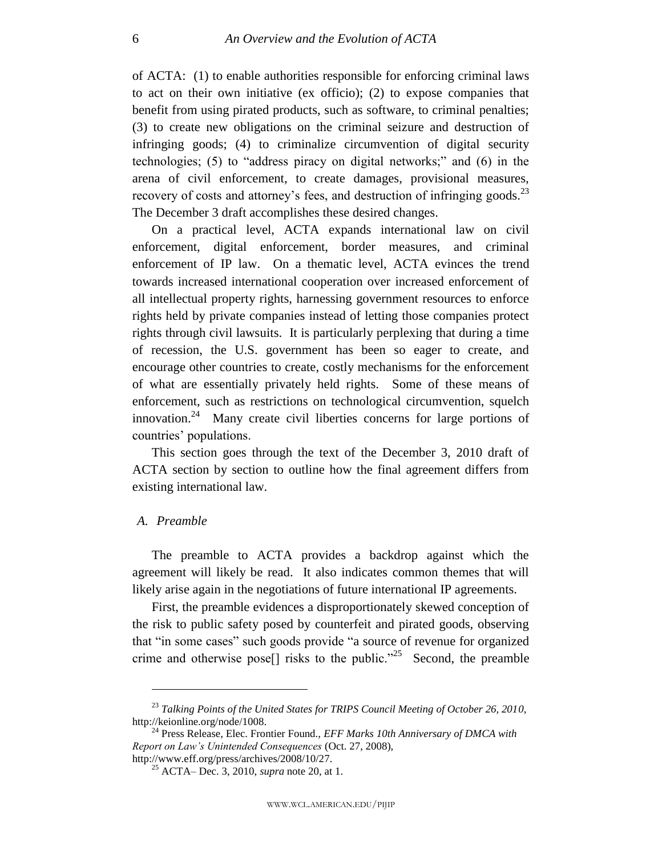of ACTA: (1) to enable authorities responsible for enforcing criminal laws to act on their own initiative (ex officio); (2) to expose companies that benefit from using pirated products, such as software, to criminal penalties; (3) to create new obligations on the criminal seizure and destruction of infringing goods; (4) to criminalize circumvention of digital security technologies; (5) to "address piracy on digital networks;" and (6) in the arena of civil enforcement, to create damages, provisional measures, recovery of costs and attorney's fees, and destruction of infringing goods. $^{23}$ The December 3 draft accomplishes these desired changes.

On a practical level, ACTA expands international law on civil enforcement, digital enforcement, border measures, and criminal enforcement of IP law. On a thematic level, ACTA evinces the trend towards increased international cooperation over increased enforcement of all intellectual property rights, harnessing government resources to enforce rights held by private companies instead of letting those companies protect rights through civil lawsuits. It is particularly perplexing that during a time of recession, the U.S. government has been so eager to create, and encourage other countries to create, costly mechanisms for the enforcement of what are essentially privately held rights. Some of these means of enforcement, such as restrictions on technological circumvention, squelch innovation.<sup>24</sup> Many create civil liberties concerns for large portions of countries' populations.

This section goes through the text of the December 3, 2010 draft of ACTA section by section to outline how the final agreement differs from existing international law.

#### <span id="page-6-0"></span>*A. Preamble*

 $\overline{a}$ 

The preamble to ACTA provides a backdrop against which the agreement will likely be read. It also indicates common themes that will likely arise again in the negotiations of future international IP agreements.

First, the preamble evidences a disproportionately skewed conception of the risk to public safety posed by counterfeit and pirated goods, observing that "in some cases" such goods provide "a source of revenue for organized crime and otherwise pose<sup>[]</sup> risks to the public.<sup>225</sup> Second, the preamble

<sup>23</sup> *Talking Points of the United States for TRIPS Council Meeting of October 26, 2010*, http://keionline.org/node/1008.

<sup>24</sup> Press Release, Elec. Frontier Found., *EFF Marks 10th Anniversary of DMCA with Report on Law's Unintended Consequences* (Oct. 27, 2008), http://www.eff.org/press/archives/2008/10/27.

<sup>25</sup> ACTA– Dec. 3, 2010, *supra* note [20,](#page-5-1) at 1.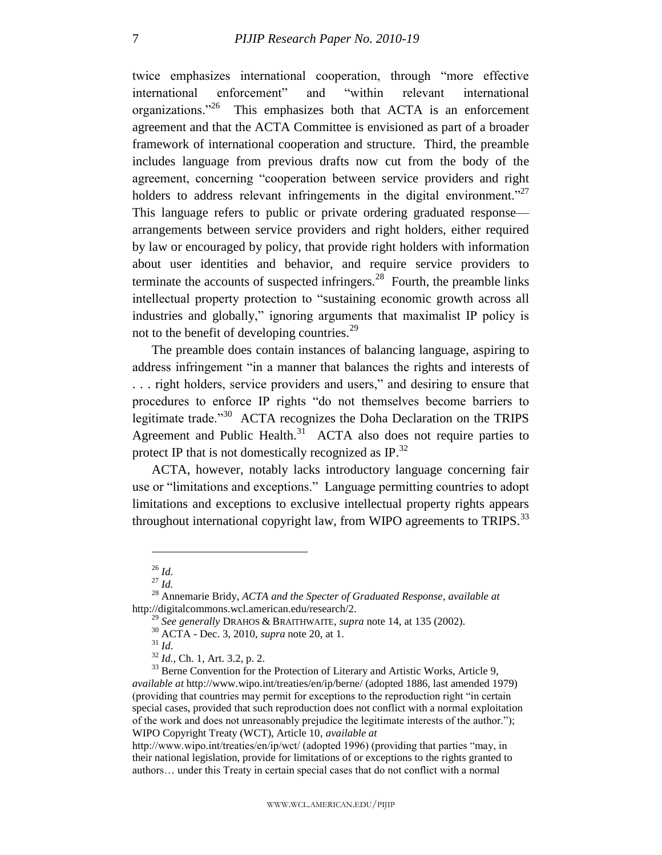twice emphasizes international cooperation, through "more effective international enforcement" and "within relevant international organizations."<sup>26</sup> This emphasizes both that ACTA is an enforcement agreement and that the ACTA Committee is envisioned as part of a broader framework of international cooperation and structure. Third, the preamble includes language from previous drafts now cut from the body of the agreement, concerning "cooperation between service providers and right holders to address relevant infringements in the digital environment.<sup>227</sup> This language refers to public or private ordering graduated response arrangements between service providers and right holders, either required by law or encouraged by policy, that provide right holders with information about user identities and behavior, and require service providers to terminate the accounts of suspected infringers. $^{28}$  Fourth, the preamble links intellectual property protection to "sustaining economic growth across all industries and globally," ignoring arguments that maximalist IP policy is not to the benefit of developing countries.<sup>29</sup>

<span id="page-7-0"></span>The preamble does contain instances of balancing language, aspiring to address infringement "in a manner that balances the rights and interests of ... right holders, service providers and users," and desiring to ensure that procedures to enforce IP rights "do not themselves become barriers to legitimate trade.<sup>30</sup> ACTA recognizes the Doha Declaration on the TRIPS Agreement and Public Health. $31$  ACTA also does not require parties to protect IP that is not domestically recognized as IP.<sup>32</sup>

ACTA, however, notably lacks introductory language concerning fair use or "limitations and exceptions." Language permitting countries to adopt limitations and exceptions to exclusive intellectual property rights appears throughout international copyright law, from WIPO agreements to TRIPS. $^{33}$ 

 $\overline{a}$ 

<sup>29</sup> *See generally* DRAHOS & BRAITHWAITE, *supra* note [14,](#page-5-2) at 135 (2002).

<sup>26</sup> *Id.*

 $^{27}$  *Id.* 

<sup>28</sup> Annemarie Bridy, *ACTA and the Specter of Graduated Response*, *available at* http://digitalcommons.wcl.american.edu/research/2.

<sup>30</sup> ACTA - Dec. 3, 2010, *supra* note [20,](#page-5-1) at 1.

<sup>31</sup> *Id*.

<sup>32</sup> *Id.*, Ch. 1, Art. 3.2, p. 2.

<sup>&</sup>lt;sup>33</sup> Berne Convention for the Protection of Literary and Artistic Works, Article 9, *available at* http://www.wipo.int/treaties/en/ip/berne/ (adopted 1886, last amended 1979) (providing that countries may permit for exceptions to the reproduction right "in certain special cases, provided that such reproduction does not conflict with a normal exploitation of the work and does not unreasonably prejudice the legitimate interests of the author."); WIPO Copyright Treaty (WCT), Article 10, *available at*

http://www.wipo.int/treaties/en/ip/wct/ (adopted 1996) (providing that parties "may, in their national legislation, provide for limitations of or exceptions to the rights granted to authors… under this Treaty in certain special cases that do not conflict with a normal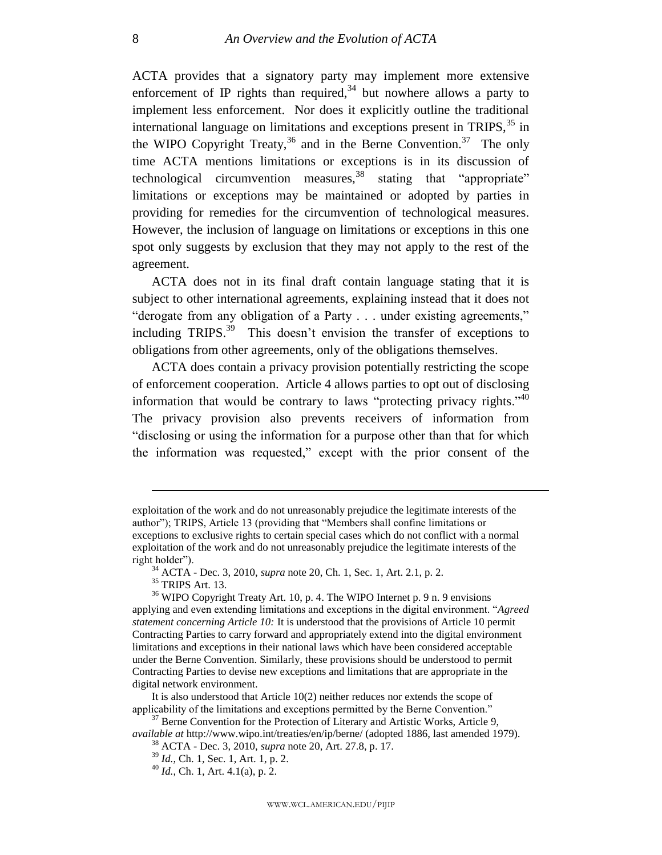ACTA provides that a signatory party may implement more extensive enforcement of IP rights than required,  $34$  but nowhere allows a party to implement less enforcement. Nor does it explicitly outline the traditional international language on limitations and exceptions present in TRIPS,  $35$  in the WIPO Copyright Treaty,  $36$  and in the Berne Convention.  $37$  The only time ACTA mentions limitations or exceptions is in its discussion of technological circumvention measures, $38$  stating that "appropriate" limitations or exceptions may be maintained or adopted by parties in providing for remedies for the circumvention of technological measures. However, the inclusion of language on limitations or exceptions in this one spot only suggests by exclusion that they may not apply to the rest of the agreement.

ACTA does not in its final draft contain language stating that it is subject to other international agreements, explaining instead that it does not "derogate from any obligation of a Party . . . under existing agreements," including TRIPS. $39$  This doesn't envision the transfer of exceptions to obligations from other agreements, only of the obligations themselves.

ACTA does contain a privacy provision potentially restricting the scope of enforcement cooperation. Article 4 allows parties to opt out of disclosing information that would be contrary to laws "protecting privacy rights." <sup>40</sup> The privacy provision also prevents receivers of information from "disclosing or using the information for a purpose other than that for which the information was requested," except with the prior consent of the

exploitation of the work and do not unreasonably prejudice the legitimate interests of the author"); TRIPS, Article 13 (providing that "Members shall confine limitations or exceptions to exclusive rights to certain special cases which do not conflict with a normal exploitation of the work and do not unreasonably prejudice the legitimate interests of the right holder").

<sup>34</sup> ACTA - Dec. 3, 2010, *supra* note [20,](#page-5-1) Ch. 1, Sec. 1, Art. 2.1, p. 2.

<sup>35</sup> TRIPS Art. 13.

<sup>&</sup>lt;sup>36</sup> WIPO Copyright Treaty Art. 10, p. 4. The WIPO Internet p. 9 n. 9 envisions applying and even extending limitations and exceptions in the digital environment. "Agreed *statement concerning Article 10:* It is understood that the provisions of Article 10 permit Contracting Parties to carry forward and appropriately extend into the digital environment limitations and exceptions in their national laws which have been considered acceptable under the Berne Convention. Similarly, these provisions should be understood to permit Contracting Parties to devise new exceptions and limitations that are appropriate in the digital network environment.

It is also understood that Article 10(2) neither reduces nor extends the scope of applicability of the limitations and exceptions permitted by the Berne Convention."

 $37$  Berne Convention for the Protection of Literary and Artistic Works, Article 9, *available at* http://www.wipo.int/treaties/en/ip/berne/ (adopted 1886, last amended 1979). <sup>38</sup> ACTA - Dec. 3, 2010, *supra* note [20,](#page-5-1) Art. 27.8, p. 17.

<sup>39</sup> *Id.*, Ch. 1, Sec. 1, Art. 1, p. 2.

 $^{40}$  *Id.*, Ch. 1, Art. 4.1(a), p. 2.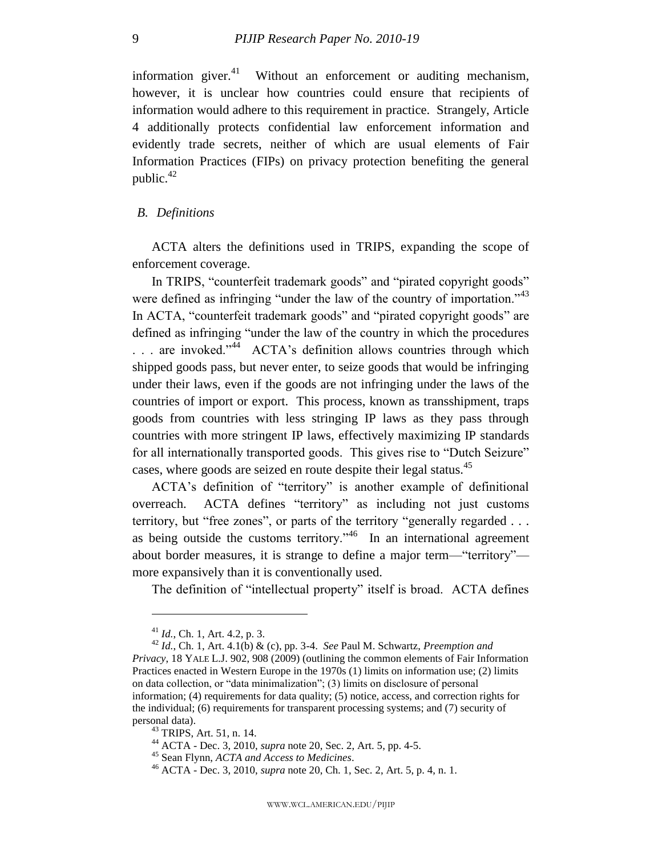information giver. $41$  Without an enforcement or auditing mechanism, however, it is unclear how countries could ensure that recipients of information would adhere to this requirement in practice. Strangely, Article 4 additionally protects confidential law enforcement information and evidently trade secrets, neither of which are usual elements of Fair Information Practices (FIPs) on privacy protection benefiting the general public. $42$ 

## <span id="page-9-0"></span>*B. Definitions*

ACTA alters the definitions used in TRIPS, expanding the scope of enforcement coverage.

In TRIPS, "counterfeit trademark goods" and "pirated copyright goods" were defined as infringing "under the law of the country of importation."  $43$ In ACTA, "counterfeit trademark goods" and "pirated copyright goods" are defined as infringing "under the law of the country in which the procedures ... are invoked."<sup>44</sup> ACTA's definition allows countries through which shipped goods pass, but never enter, to seize goods that would be infringing under their laws, even if the goods are not infringing under the laws of the countries of import or export. This process, known as transshipment, traps goods from countries with less stringing IP laws as they pass through countries with more stringent IP laws, effectively maximizing IP standards for all internationally transported goods. This gives rise to "Dutch Seizure" cases, where goods are seized en route despite their legal status.<sup>45</sup>

ACTA's definition of "territory" is another example of definitional overreach. ACTA defines "territory" as including not just customs territory, but "free zones", or parts of the territory "generally regarded  $\ldots$ as being outside the customs territory.<sup> $,46$ </sup> In an international agreement about border measures, it is strange to define a major term—"territory" more expansively than it is conventionally used.

The definition of "intellectual property" itself is broad. ACTA defines

<sup>41</sup> *Id.*, Ch. 1, Art. 4.2, p. 3.

<sup>42</sup> *Id.*, Ch. 1, Art. 4.1(b) & (c), pp. 3-4. *See* Paul M. Schwartz, *Preemption and Privacy*, 18 YALE L.J. 902, 908 (2009) (outlining the common elements of Fair Information Practices enacted in Western Europe in the 1970s (1) limits on information use; (2) limits on data collection, or "data minimalization";  $(3)$  limits on disclosure of personal information; (4) requirements for data quality; (5) notice, access, and correction rights for the individual; (6) requirements for transparent processing systems; and (7) security of personal data).

 $43$  TRIPS, Art. 51, n. 14.

<sup>44</sup> ACTA - Dec. 3, 2010, *supra* note [20,](#page-5-1) Sec. 2, Art. 5, pp. 4-5.

<sup>45</sup> Sean Flynn, *ACTA and Access to Medicines*.

<sup>46</sup> ACTA - Dec. 3, 2010, *supra* note [20,](#page-5-1) Ch. 1, Sec. 2, Art. 5, p. 4, n. 1.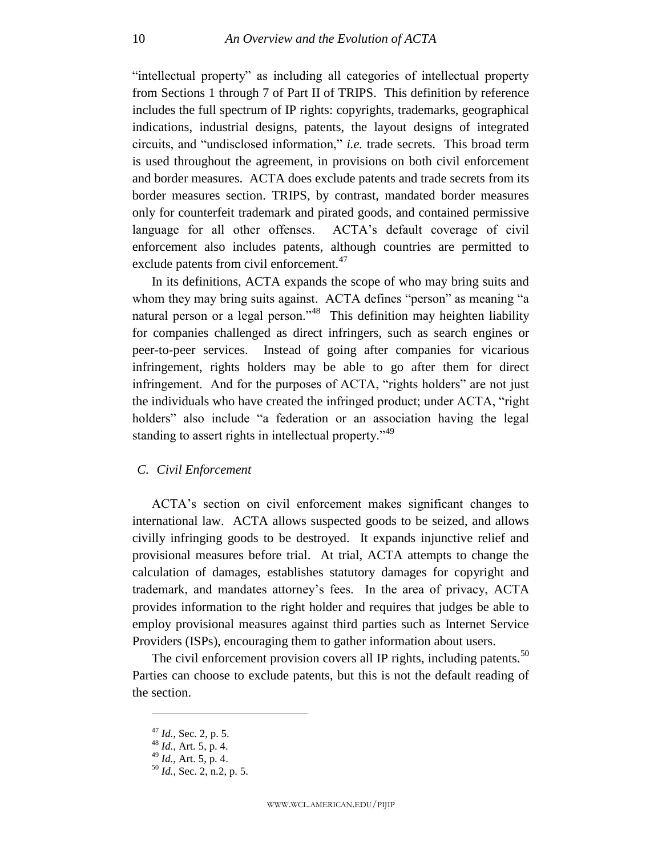"intellectual property" as including all categories of intellectual property from Sections 1 through 7 of Part II of TRIPS. This definition by reference includes the full spectrum of IP rights: copyrights, trademarks, geographical indications, industrial designs, patents, the layout designs of integrated circuits, and "undisclosed information," *i.e.* trade secrets. This broad term is used throughout the agreement, in provisions on both civil enforcement and border measures. ACTA does exclude patents and trade secrets from its border measures section. TRIPS, by contrast, mandated border measures only for counterfeit trademark and pirated goods, and contained permissive language for all other offenses. ACTA's default coverage of civil enforcement also includes patents, although countries are permitted to exclude patents from civil enforcement.<sup>47</sup>

In its definitions, ACTA expands the scope of who may bring suits and whom they may bring suits against. ACTA defines "person" as meaning "a natural person or a legal person."<sup>48</sup> This definition may heighten liability for companies challenged as direct infringers, such as search engines or peer-to-peer services. Instead of going after companies for vicarious infringement, rights holders may be able to go after them for direct infringement. And for the purposes of ACTA, "rights holders" are not just the individuals who have created the infringed product; under ACTA, "right" holders" also include "a federation or an association having the legal standing to assert rights in intellectual property.<sup>149</sup>

## <span id="page-10-0"></span>*C. Civil Enforcement*

ACTA's section on civil enforcement makes significant changes to international law. ACTA allows suspected goods to be seized, and allows civilly infringing goods to be destroyed. It expands injunctive relief and provisional measures before trial. At trial, ACTA attempts to change the calculation of damages, establishes statutory damages for copyright and trademark, and mandates attorney's fees. In the area of privacy, ACTA provides information to the right holder and requires that judges be able to employ provisional measures against third parties such as Internet Service Providers (ISPs), encouraging them to gather information about users.

The civil enforcement provision covers all IP rights, including patents. $50$ Parties can choose to exclude patents, but this is not the default reading of the section.

<sup>47</sup> *Id.*, Sec. 2, p. 5.

 $^{48}$  *Id.*, Art. 5, p. 4.

 $^{149}$  *Id.*, Art. 5, p. 4.

<sup>50</sup> *Id.*, Sec. 2, n.2, p. 5.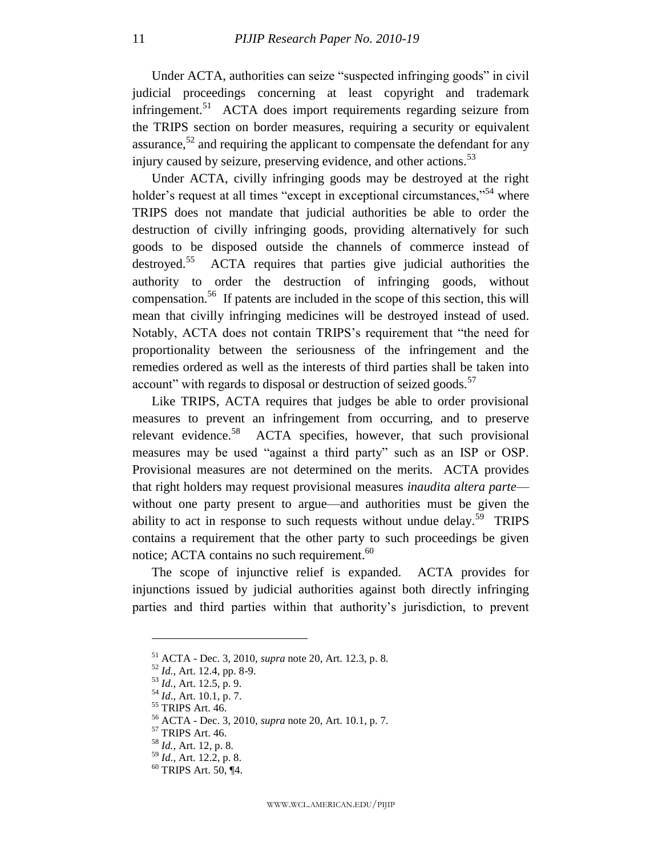Under ACTA, authorities can seize "suspected infringing goods" in civil judicial proceedings concerning at least copyright and trademark infringement.<sup>51</sup> ACTA does import requirements regarding seizure from the TRIPS section on border measures, requiring a security or equivalent assurance,  $52$  and requiring the applicant to compensate the defendant for any injury caused by seizure, preserving evidence, and other actions.<sup>53</sup>

Under ACTA, civilly infringing goods may be destroyed at the right holder's request at all times "except in exceptional circumstances,"<sup>54</sup> where TRIPS does not mandate that judicial authorities be able to order the destruction of civilly infringing goods, providing alternatively for such goods to be disposed outside the channels of commerce instead of destroyed.<sup>55</sup> ACTA requires that parties give judicial authorities the authority to order the destruction of infringing goods, without compensation.<sup>56</sup> If patents are included in the scope of this section, this will mean that civilly infringing medicines will be destroyed instead of used. Notably, ACTA does not contain TRIPS's requirement that "the need for proportionality between the seriousness of the infringement and the remedies ordered as well as the interests of third parties shall be taken into account" with regards to disposal or destruction of seized goods. $57$ 

Like TRIPS, ACTA requires that judges be able to order provisional measures to prevent an infringement from occurring, and to preserve relevant evidence.<sup>58</sup> ACTA specifies, however, that such provisional measures may be used "against a third party" such as an ISP or OSP. Provisional measures are not determined on the merits. ACTA provides that right holders may request provisional measures *inaudita altera parte* without one party present to argue—and authorities must be given the ability to act in response to such requests without undue delay.<sup>59</sup> TRIPS contains a requirement that the other party to such proceedings be given notice; ACTA contains no such requirement. $60$ 

The scope of injunctive relief is expanded. ACTA provides for injunctions issued by judicial authorities against both directly infringing parties and third parties within that authority's jurisdiction, to prevent

<sup>51</sup> ACTA - Dec. 3, 2010, *supra* note [20,](#page-5-1) Art. 12.3, p. 8.

<sup>52</sup> *Id.*, Art. 12.4, pp. 8-9.

<sup>53</sup> *Id.*, Art. 12.5, p. 9.

<sup>54</sup> *Id*., Art. 10.1, p. 7.

<sup>55</sup> TRIPS Art. 46.

<sup>56</sup> ACTA - Dec. 3, 2010, *supra* note [20,](#page-5-1) Art. 10.1, p. 7.

<sup>57</sup> TRIPS Art. 46.

<sup>58</sup> *Id.*, Art. 12, p. 8.

<sup>59</sup> *Id.*, Art. 12.2, p. 8.

 $60$  TRIPS Art. 50, ¶4.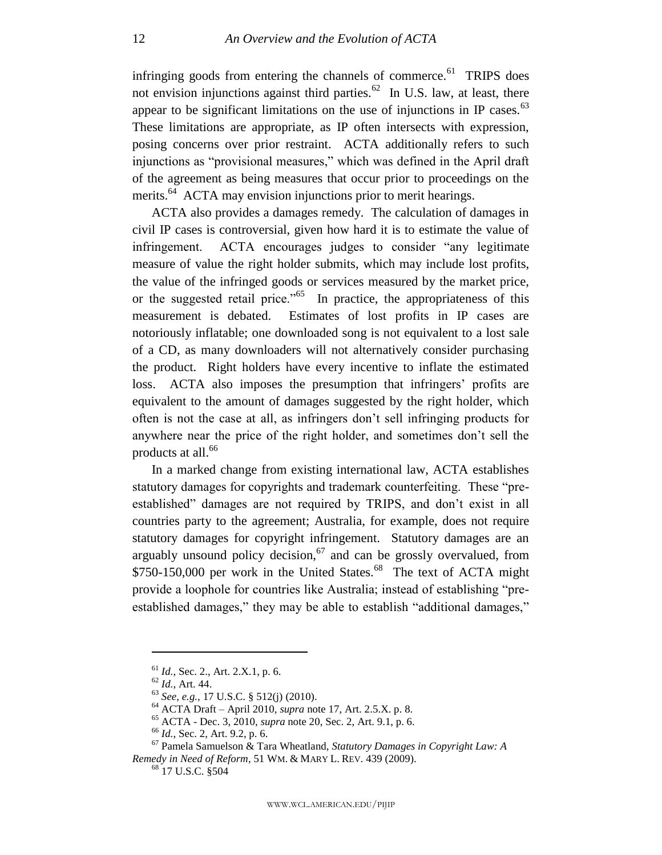infringing goods from entering the channels of commerce.<sup>61</sup> TRIPS does not envision injunctions against third parties.<sup>62</sup> In U.S. law, at least, there appear to be significant limitations on the use of injunctions in IP cases. $^{63}$ These limitations are appropriate, as IP often intersects with expression, posing concerns over prior restraint. ACTA additionally refers to such injunctions as "provisional measures," which was defined in the April draft of the agreement as being measures that occur prior to proceedings on the merits.<sup>64</sup> ACTA may envision injunctions prior to merit hearings.

ACTA also provides a damages remedy. The calculation of damages in civil IP cases is controversial, given how hard it is to estimate the value of infringement. ACTA encourages judges to consider "any legitimate measure of value the right holder submits, which may include lost profits, the value of the infringed goods or services measured by the market price, or the suggested retail price.<sup> $1055$ </sup> In practice, the appropriateness of this measurement is debated. Estimates of lost profits in IP cases are notoriously inflatable; one downloaded song is not equivalent to a lost sale of a CD, as many downloaders will not alternatively consider purchasing the product. Right holders have every incentive to inflate the estimated loss. ACTA also imposes the presumption that infringers' profits are equivalent to the amount of damages suggested by the right holder, which often is not the case at all, as infringers don't sell infringing products for anywhere near the price of the right holder, and sometimes don't sell the products at all.<sup>66</sup>

In a marked change from existing international law, ACTA establishes statutory damages for copyrights and trademark counterfeiting. These "preestablished" damages are not required by TRIPS, and don't exist in all countries party to the agreement; Australia, for example, does not require statutory damages for copyright infringement. Statutory damages are an arguably unsound policy decision,  $67$  and can be grossly overvalued, from \$750-150,000 per work in the United States.<sup>68</sup> The text of ACTA might provide a loophole for countries like Australia; instead of establishing "preestablished damages," they may be able to establish "additional damages,"

<sup>61</sup> *Id.*, Sec. 2., Art. 2.X.1, p. 6.

<sup>62</sup> *Id.*, Art. 44.

<sup>63</sup> *See, e.g.,* 17 U.S.C. § 512(j) (2010).

<sup>64</sup> ACTA Draft – April 2010, *supra* note [17,](#page-5-3) Art. 2.5.X. p. 8.

<sup>65</sup> ACTA - Dec. 3, 2010, *supra* note [20,](#page-5-1) Sec. 2, Art. 9.1, p. 6.

<sup>66</sup> *Id.*, Sec. 2, Art. 9.2, p. 6.

<sup>67</sup> Pamela Samuelson & Tara Wheatland, *Statutory Damages in Copyright Law: A Remedy in Need of Reform*, 51 WM. & MARY L. REV. 439 (2009).

<sup>68</sup> 17 U.S.C. §504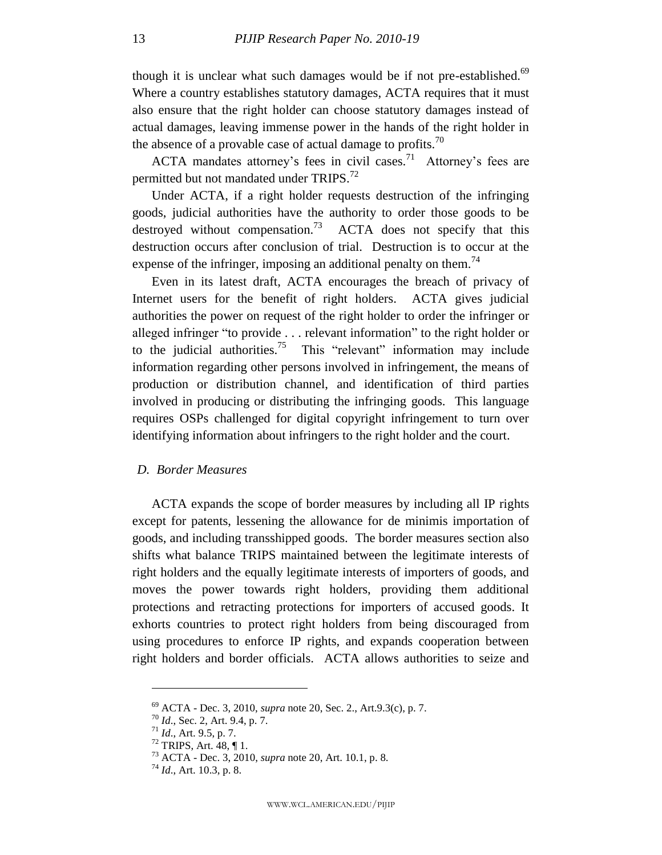though it is unclear what such damages would be if not pre-established.<sup>69</sup> Where a country establishes statutory damages, ACTA requires that it must also ensure that the right holder can choose statutory damages instead of actual damages, leaving immense power in the hands of the right holder in the absence of a provable case of actual damage to profits.<sup>70</sup>

ACTA mandates attorney's fees in civil cases.<sup>71</sup> Attorney's fees are permitted but not mandated under TRIPS.<sup>72</sup>

Under ACTA, if a right holder requests destruction of the infringing goods, judicial authorities have the authority to order those goods to be destroyed without compensation.<sup>73</sup> ACTA does not specify that this destruction occurs after conclusion of trial. Destruction is to occur at the expense of the infringer, imposing an additional penalty on them.<sup>74</sup>

Even in its latest draft, ACTA encourages the breach of privacy of Internet users for the benefit of right holders. ACTA gives judicial authorities the power on request of the right holder to order the infringer or alleged infringer "to provide  $\dots$  relevant information" to the right holder or to the judicial authorities.<sup>75</sup> This "relevant" information may include information regarding other persons involved in infringement, the means of production or distribution channel, and identification of third parties involved in producing or distributing the infringing goods. This language requires OSPs challenged for digital copyright infringement to turn over identifying information about infringers to the right holder and the court.

#### <span id="page-13-0"></span>*D. Border Measures*

ACTA expands the scope of border measures by including all IP rights except for patents, lessening the allowance for de minimis importation of goods, and including transshipped goods. The border measures section also shifts what balance TRIPS maintained between the legitimate interests of right holders and the equally legitimate interests of importers of goods, and moves the power towards right holders, providing them additional protections and retracting protections for importers of accused goods. It exhorts countries to protect right holders from being discouraged from using procedures to enforce IP rights, and expands cooperation between right holders and border officials. ACTA allows authorities to seize and

<sup>69</sup> ACTA - Dec. 3, 2010, *supra* note [20,](#page-5-1) Sec. 2., Art.9.3(c), p. 7.

<sup>70</sup> *Id*., Sec. 2, Art. 9.4, p. 7.

<sup>71</sup> *Id*., Art. 9.5, p. 7.

 $72$  TRIPS, Art. 48,  $\P$  1.

<sup>73</sup> ACTA - Dec. 3, 2010, *supra* note [20,](#page-5-1) Art. 10.1, p. 8.

<sup>74</sup> *Id*., Art. 10.3, p. 8.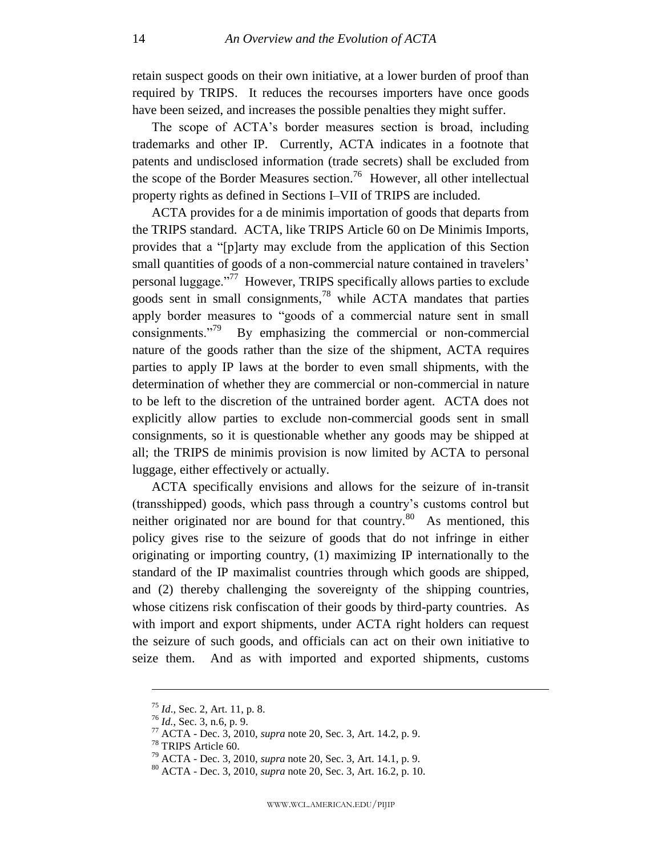retain suspect goods on their own initiative, at a lower burden of proof than required by TRIPS. It reduces the recourses importers have once goods have been seized, and increases the possible penalties they might suffer.

The scope of ACTA's border measures section is broad, including trademarks and other IP. Currently, ACTA indicates in a footnote that patents and undisclosed information (trade secrets) shall be excluded from the scope of the Border Measures section.<sup>76</sup> However, all other intellectual property rights as defined in Sections I–VII of TRIPS are included.

ACTA provides for a de minimis importation of goods that departs from the TRIPS standard. ACTA, like TRIPS Article 60 on De Minimis Imports, provides that a "[p]arty may exclude from the application of this Section small quantities of goods of a non-commercial nature contained in travelers' personal luggage."<sup>77</sup> However, TRIPS specifically allows parties to exclude goods sent in small consignments,<sup>78</sup> while ACTA mandates that parties apply border measures to "goods of a commercial nature sent in small consignments."<sup>79</sup> By emphasizing the commercial or non-commercial nature of the goods rather than the size of the shipment, ACTA requires parties to apply IP laws at the border to even small shipments, with the determination of whether they are commercial or non-commercial in nature to be left to the discretion of the untrained border agent. ACTA does not explicitly allow parties to exclude non-commercial goods sent in small consignments, so it is questionable whether any goods may be shipped at all; the TRIPS de minimis provision is now limited by ACTA to personal luggage, either effectively or actually.

ACTA specifically envisions and allows for the seizure of in-transit (transshipped) goods, which pass through a country's customs control but neither originated nor are bound for that country.<sup>80</sup> As mentioned, this policy gives rise to the seizure of goods that do not infringe in either originating or importing country, (1) maximizing IP internationally to the standard of the IP maximalist countries through which goods are shipped, and (2) thereby challenging the sovereignty of the shipping countries, whose citizens risk confiscation of their goods by third-party countries. As with import and export shipments, under ACTA right holders can request the seizure of such goods, and officials can act on their own initiative to seize them. And as with imported and exported shipments, customs

<sup>75</sup> *Id*., Sec. 2, Art. 11, p. 8.

<sup>76</sup> *Id.*, Sec. 3, n.6, p. 9.

<sup>77</sup> ACTA - Dec. 3, 2010, *supra* note [20,](#page-5-1) Sec. 3, Art. 14.2, p. 9.

<sup>78</sup> TRIPS Article 60.

<sup>79</sup> ACTA - Dec. 3, 2010, *supra* note [20,](#page-5-1) Sec. 3, Art. 14.1, p. 9.

<sup>80</sup> ACTA - Dec. 3, 2010, *supra* note [20,](#page-5-1) Sec. 3, Art. 16.2, p. 10.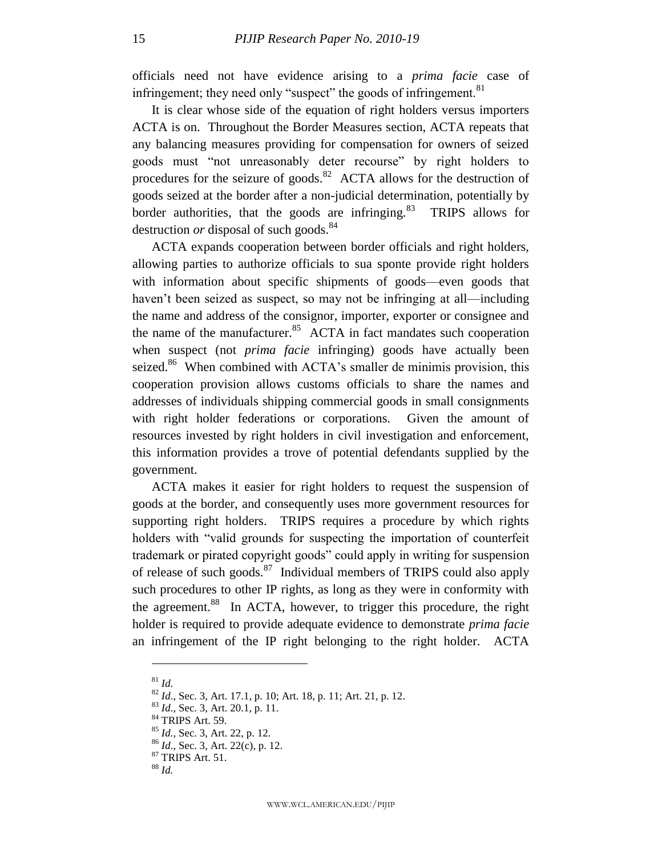officials need not have evidence arising to a *prima facie* case of infringement; they need only "suspect" the goods of infringement.  $81$ 

It is clear whose side of the equation of right holders versus importers ACTA is on. Throughout the Border Measures section, ACTA repeats that any balancing measures providing for compensation for owners of seized goods must "not unreasonably deter recourse" by right holders to procedures for the seizure of goods.<sup>82</sup> ACTA allows for the destruction of goods seized at the border after a non-judicial determination, potentially by border authorities, that the goods are infringing. $83$  TRIPS allows for destruction *or* disposal of such goods.<sup>84</sup>

ACTA expands cooperation between border officials and right holders, allowing parties to authorize officials to sua sponte provide right holders with information about specific shipments of goods—even goods that haven't been seized as suspect, so may not be infringing at all—including the name and address of the consignor, importer, exporter or consignee and the name of the manufacturer.<sup>85</sup> ACTA in fact mandates such cooperation when suspect (not *prima facie* infringing) goods have actually been seized.<sup>86</sup> When combined with ACTA's smaller de minimis provision, this cooperation provision allows customs officials to share the names and addresses of individuals shipping commercial goods in small consignments with right holder federations or corporations. Given the amount of resources invested by right holders in civil investigation and enforcement, this information provides a trove of potential defendants supplied by the government.

ACTA makes it easier for right holders to request the suspension of goods at the border, and consequently uses more government resources for supporting right holders. TRIPS requires a procedure by which rights holders with "valid grounds for suspecting the importation of counterfeit trademark or pirated copyright goods" could apply in writing for suspension of release of such goods.<sup>87</sup> Individual members of TRIPS could also apply such procedures to other IP rights, as long as they were in conformity with the agreement.<sup>88</sup> In ACTA, however, to trigger this procedure, the right holder is required to provide adequate evidence to demonstrate *prima facie* an infringement of the IP right belonging to the right holder. ACTA

<sup>81</sup> *Id.*

<sup>82</sup> *Id*., Sec. 3, Art. 17.1, p. 10; Art. 18, p. 11; Art. 21, p. 12.

<sup>83</sup> *Id*., Sec. 3, Art. 20.1, p. 11.

<sup>84</sup> TRIPS Art. 59.

<sup>85</sup> *Id.*, Sec. 3, Art. 22, p. 12.

<sup>86</sup> *Id*., Sec. 3, Art. 22(c), p. 12.

<sup>87</sup> TRIPS Art. 51.

<sup>88</sup> *Id.*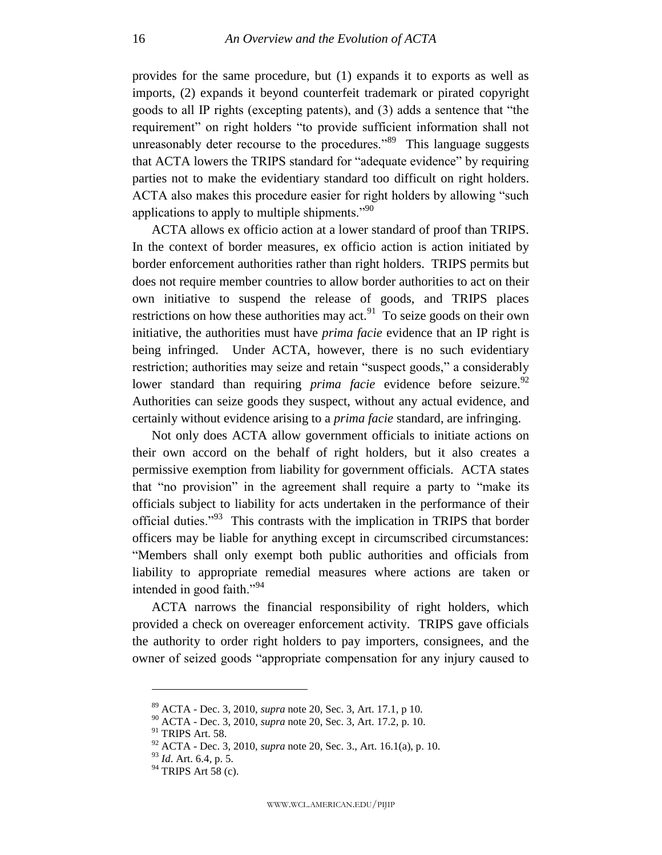provides for the same procedure, but (1) expands it to exports as well as imports, (2) expands it beyond counterfeit trademark or pirated copyright goods to all IP rights (excepting patents), and (3) adds a sentence that "the requirement" on right holders "to provide sufficient information shall not unreasonably deter recourse to the procedures.<sup>89</sup> This language suggests that ACTA lowers the TRIPS standard for "adequate evidence" by requiring parties not to make the evidentiary standard too difficult on right holders. ACTA also makes this procedure easier for right holders by allowing "such applications to apply to multiple shipments. $\cdot$ <sup>90</sup>

ACTA allows ex officio action at a lower standard of proof than TRIPS. In the context of border measures, ex officio action is action initiated by border enforcement authorities rather than right holders. TRIPS permits but does not require member countries to allow border authorities to act on their own initiative to suspend the release of goods, and TRIPS places restrictions on how these authorities may act.<sup>91</sup> To seize goods on their own initiative, the authorities must have *prima facie* evidence that an IP right is being infringed. Under ACTA, however, there is no such evidentiary restriction; authorities may seize and retain "suspect goods," a considerably lower standard than requiring *prima facie* evidence before seizure.<sup>92</sup> Authorities can seize goods they suspect, without any actual evidence, and certainly without evidence arising to a *prima facie* standard, are infringing.

Not only does ACTA allow government officials to initiate actions on their own accord on the behalf of right holders, but it also creates a permissive exemption from liability for government officials. ACTA states that "no provision" in the agreement shall require a party to "make its" officials subject to liability for acts undertaken in the performance of their official duties."<sup>93</sup> This contrasts with the implication in TRIPS that border officers may be liable for anything except in circumscribed circumstances: ―Members shall only exempt both public authorities and officials from liability to appropriate remedial measures where actions are taken or intended in good faith."<sup>94</sup>

ACTA narrows the financial responsibility of right holders, which provided a check on overeager enforcement activity. TRIPS gave officials the authority to order right holders to pay importers, consignees, and the owner of seized goods "appropriate compensation for any injury caused to

<sup>89</sup> ACTA - Dec. 3, 2010, *supra* note [20,](#page-5-1) Sec. 3, Art. 17.1, p 10.

<sup>90</sup> ACTA - Dec. 3, 2010, *supra* note [20,](#page-5-1) Sec. 3, Art. 17.2, p. 10.

<sup>91</sup> TRIPS Art. 58.

<sup>92</sup> ACTA - Dec. 3, 2010, *supra* note [20,](#page-5-1) Sec. 3., Art. 16.1(a), p. 10.

<sup>93</sup> *Id*. Art. 6.4, p. 5.

 $94$  TRIPS Art 58 (c).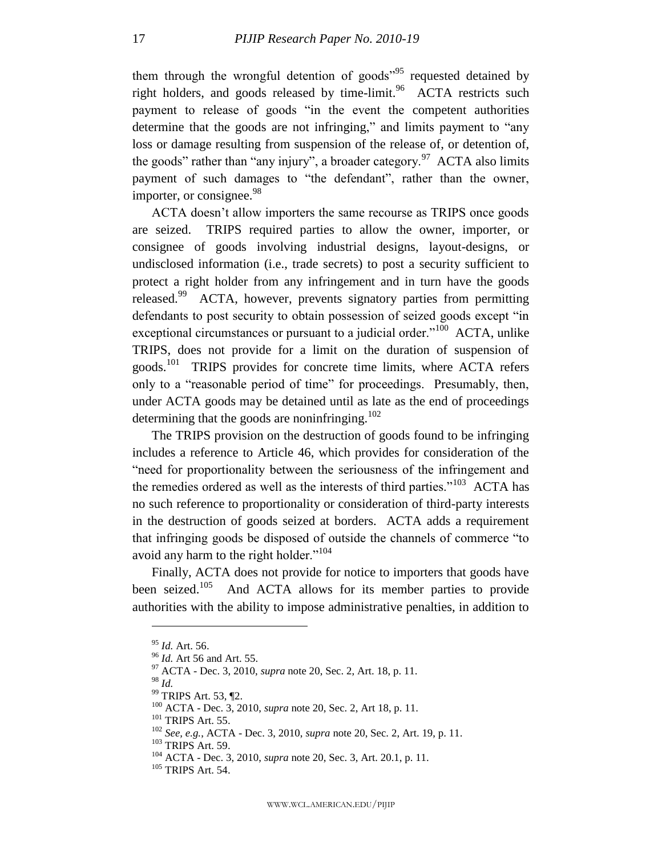them through the wrongful detention of goods<sup> $95$ </sup> requested detained by right holders, and goods released by time-limit.<sup>96</sup> ACTA restricts such payment to release of goods "in the event the competent authorities determine that the goods are not infringing," and limits payment to "any loss or damage resulting from suspension of the release of, or detention of, the goods" rather than "any injury", a broader category.<sup>97</sup> ACTA also limits payment of such damages to "the defendant", rather than the owner, importer, or consignee.<sup>98</sup>

ACTA doesn't allow importers the same recourse as TRIPS once goods are seized. TRIPS required parties to allow the owner, importer, or consignee of goods involving industrial designs, layout-designs, or undisclosed information (i.e., trade secrets) to post a security sufficient to protect a right holder from any infringement and in turn have the goods released.<sup>99</sup> ACTA, however, prevents signatory parties from permitting defendants to post security to obtain possession of seized goods except "in exceptional circumstances or pursuant to a judicial order."<sup>100</sup> ACTA, unlike TRIPS, does not provide for a limit on the duration of suspension of goods.<sup>101</sup> TRIPS provides for concrete time limits, where ACTA refers only to a "reasonable period of time" for proceedings. Presumably, then, under ACTA goods may be detained until as late as the end of proceedings determining that the goods are noninfringing.<sup>102</sup>

The TRIPS provision on the destruction of goods found to be infringing includes a reference to Article 46, which provides for consideration of the ―need for proportionality between the seriousness of the infringement and the remedies ordered as well as the interests of third parties." $103$  ACTA has no such reference to proportionality or consideration of third-party interests in the destruction of goods seized at borders. ACTA adds a requirement that infringing goods be disposed of outside the channels of commerce "to avoid any harm to the right holder. $104$ 

Finally, ACTA does not provide for notice to importers that goods have been seized.<sup>105</sup> And ACTA allows for its member parties to provide authorities with the ability to impose administrative penalties, in addition to

 $\overline{a}$ 

<sup>103</sup> TRIPS Art. 59.

<sup>95</sup> *Id.* Art. 56.

<sup>96</sup> *Id.* Art 56 and Art. 55.

<sup>97</sup> ACTA - Dec. 3, 2010, *supra* note [20,](#page-5-1) Sec. 2, Art. 18, p. 11.

<sup>98</sup> *Id.*

<sup>99</sup> TRIPS Art. 53, ¶2.

<sup>100</sup> ACTA - Dec. 3, 2010, *supra* note [20,](#page-5-1) Sec. 2, Art 18, p. 11.

<sup>101</sup> TRIPS Art. 55.

<sup>102</sup> *See, e.g.*, ACTA - Dec. 3, 2010, *supra* not[e 20,](#page-5-1) Sec. 2, Art. 19, p. 11.

<sup>104</sup> ACTA - Dec. 3, 2010, *supra* note [20,](#page-5-1) Sec. 3, Art. 20.1, p. 11.

<sup>105</sup> TRIPS Art. 54.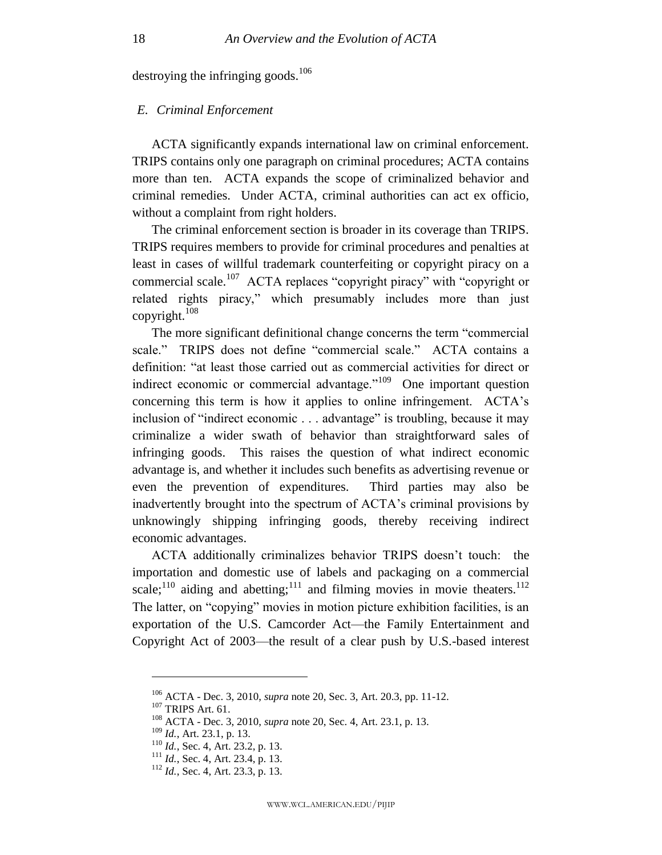destroying the infringing goods.<sup>106</sup>

#### <span id="page-18-0"></span>*E. Criminal Enforcement*

ACTA significantly expands international law on criminal enforcement. TRIPS contains only one paragraph on criminal procedures; ACTA contains more than ten. ACTA expands the scope of criminalized behavior and criminal remedies. Under ACTA, criminal authorities can act ex officio, without a complaint from right holders.

The criminal enforcement section is broader in its coverage than TRIPS. TRIPS requires members to provide for criminal procedures and penalties at least in cases of willful trademark counterfeiting or copyright piracy on a commercial scale.<sup>107</sup> ACTA replaces "copyright piracy" with "copyright or related rights piracy," which presumably includes more than just copyright.<sup>108</sup>

The more significant definitional change concerns the term "commercial scale." TRIPS does not define "commercial scale." ACTA contains a definition: "at least those carried out as commercial activities for direct or indirect economic or commercial advantage. $109$  One important question concerning this term is how it applies to online infringement. ACTA's inclusion of "indirect economic . . . advantage" is troubling, because it may criminalize a wider swath of behavior than straightforward sales of infringing goods. This raises the question of what indirect economic advantage is, and whether it includes such benefits as advertising revenue or even the prevention of expenditures. Third parties may also be inadvertently brought into the spectrum of ACTA's criminal provisions by unknowingly shipping infringing goods, thereby receiving indirect economic advantages.

ACTA additionally criminalizes behavior TRIPS doesn't touch: the importation and domestic use of labels and packaging on a commercial scale;<sup>110</sup> aiding and abetting;<sup>111</sup> and filming movies in movie theaters.<sup>112</sup> The latter, on "copying" movies in motion picture exhibition facilities, is an exportation of the U.S. Camcorder Act—the Family Entertainment and Copyright Act of 2003—the result of a clear push by U.S.-based interest

<sup>106</sup> ACTA - Dec. 3, 2010, *supra* note [20,](#page-5-1) Sec. 3, Art. 20.3, pp. 11-12.

<sup>107</sup> TRIPS Art. 61.

<sup>108</sup> ACTA - Dec. 3, 2010, *supra* note [20,](#page-5-1) Sec. 4, Art. 23.1, p. 13.

<sup>109</sup> *Id.*, Art. 23.1, p. 13.

<sup>110</sup> *Id.*, Sec. 4, Art. 23.2, p. 13.

<sup>&</sup>lt;sup>111</sup> *Id.*, Sec. 4, Art. 23.4, p. 13.

<sup>112</sup> *Id.*, Sec. 4, Art. 23.3, p. 13.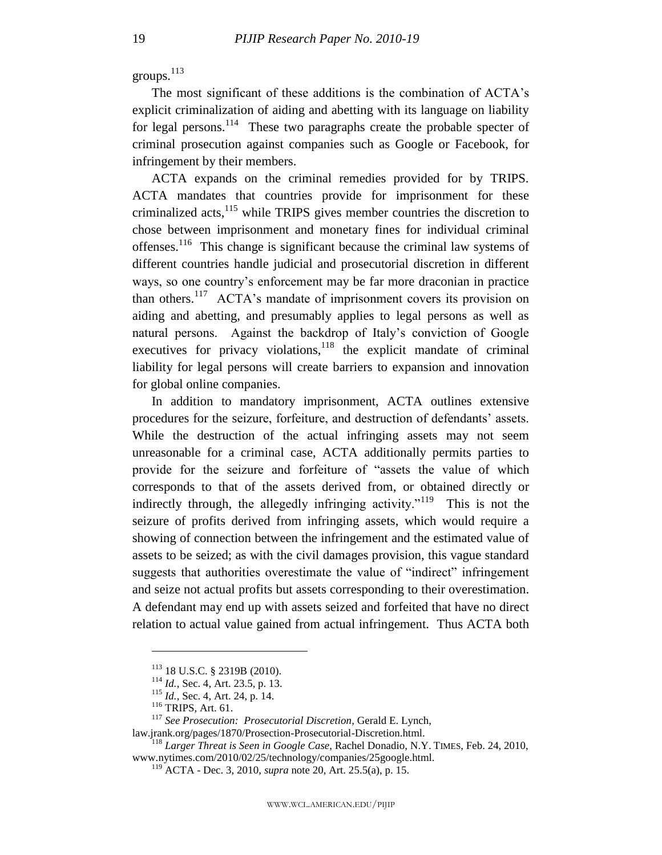groups.<sup>113</sup>

The most significant of these additions is the combination of ACTA's explicit criminalization of aiding and abetting with its language on liability for legal persons.<sup>114</sup> These two paragraphs create the probable specter of criminal prosecution against companies such as Google or Facebook, for infringement by their members.

ACTA expands on the criminal remedies provided for by TRIPS. ACTA mandates that countries provide for imprisonment for these criminalized acts, $^{115}$  while TRIPS gives member countries the discretion to chose between imprisonment and monetary fines for individual criminal offenses.<sup>116</sup> This change is significant because the criminal law systems of different countries handle judicial and prosecutorial discretion in different ways, so one country's enforcement may be far more draconian in practice than others.<sup>117</sup> ACTA's mandate of imprisonment covers its provision on aiding and abetting, and presumably applies to legal persons as well as natural persons. Against the backdrop of Italy's conviction of Google executives for privacy violations, $118$  the explicit mandate of criminal liability for legal persons will create barriers to expansion and innovation for global online companies.

In addition to mandatory imprisonment, ACTA outlines extensive procedures for the seizure, forfeiture, and destruction of defendants' assets. While the destruction of the actual infringing assets may not seem unreasonable for a criminal case, ACTA additionally permits parties to provide for the seizure and forfeiture of "assets the value of which corresponds to that of the assets derived from, or obtained directly or indirectly through, the allegedly infringing activity."<sup>119</sup> This is not the seizure of profits derived from infringing assets, which would require a showing of connection between the infringement and the estimated value of assets to be seized; as with the civil damages provision, this vague standard suggests that authorities overestimate the value of "indirect" infringement and seize not actual profits but assets corresponding to their overestimation. A defendant may end up with assets seized and forfeited that have no direct relation to actual value gained from actual infringement. Thus ACTA both

<sup>113</sup> 18 U.S.C. § 2319B (2010).

<sup>114</sup> *Id.*, Sec. 4, Art. 23.5, p. 13.

<sup>115</sup> *Id.*, Sec. 4, Art. 24, p. 14.

<sup>116</sup> TRIPS, Art. 61.

<sup>117</sup> *See Prosecution: Prosecutorial Discretion*, Gerald E. Lynch,

law.jrank.org/pages/1870/Prosection-Prosecutorial-Discretion.html.

<sup>118</sup> *Larger Threat is Seen in Google Case*, Rachel Donadio, N.Y. TIMES, Feb. 24, 2010, www.nytimes.com/2010/02/25/technology/companies/25google.html.

<sup>119</sup> ACTA - Dec. 3, 2010, *supra* note [20,](#page-5-1) Art. 25.5(a), p. 15.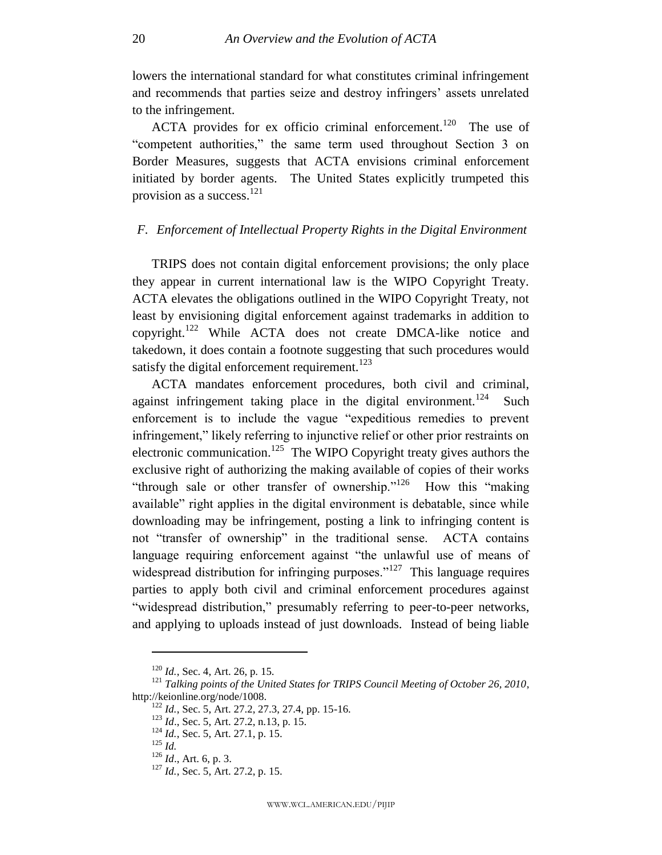lowers the international standard for what constitutes criminal infringement and recommends that parties seize and destroy infringers' assets unrelated to the infringement.

ACTA provides for ex officio criminal enforcement.<sup>120</sup> The use of ―competent authorities,‖ the same term used throughout Section 3 on Border Measures, suggests that ACTA envisions criminal enforcement initiated by border agents. The United States explicitly trumpeted this provision as a success. $^{121}$ 

## <span id="page-20-0"></span>*F. Enforcement of Intellectual Property Rights in the Digital Environment*

TRIPS does not contain digital enforcement provisions; the only place they appear in current international law is the WIPO Copyright Treaty. ACTA elevates the obligations outlined in the WIPO Copyright Treaty, not least by envisioning digital enforcement against trademarks in addition to copyright.<sup>122</sup> While ACTA does not create DMCA-like notice and takedown, it does contain a footnote suggesting that such procedures would satisfy the digital enforcement requirement.<sup>123</sup>

ACTA mandates enforcement procedures, both civil and criminal, against infringement taking place in the digital environment.<sup>124</sup> Such enforcement is to include the vague "expeditious remedies to prevent infringement," likely referring to injunctive relief or other prior restraints on electronic communication.<sup>125</sup> The WIPO Copyright treaty gives authors the exclusive right of authorizing the making available of copies of their works "through sale or other transfer of ownership."<sup>126</sup> How this "making" available" right applies in the digital environment is debatable, since while downloading may be infringement, posting a link to infringing content is not "transfer of ownership" in the traditional sense. ACTA contains language requiring enforcement against "the unlawful use of means of widespread distribution for infringing purposes."<sup>127</sup> This language requires parties to apply both civil and criminal enforcement procedures against "widespread distribution," presumably referring to peer-to-peer networks, and applying to uploads instead of just downloads. Instead of being liable

<sup>120</sup> *Id.*, Sec. 4, Art. 26, p. 15.

<sup>&</sup>lt;sup>121</sup> Talking points of the United States for TRIPS Council Meeting of October 26, 2010, http://keionline.org/node/1008.

<sup>122</sup> *Id.*, Sec. 5, Art. 27.2, 27.3, 27.4, pp. 15-16.

<sup>123</sup> *Id*., Sec. 5, Art. 27.2, n.13, p. 15.

<sup>&</sup>lt;sup>124</sup> *Id.*, Sec. 5, Art. 27.1, p. 15.

<sup>125</sup> *Id.*

<sup>126</sup> *Id*., Art. 6, p. 3.

<sup>&</sup>lt;sup>127</sup> *Id.*, Sec. 5, Art. 27.2, p. 15.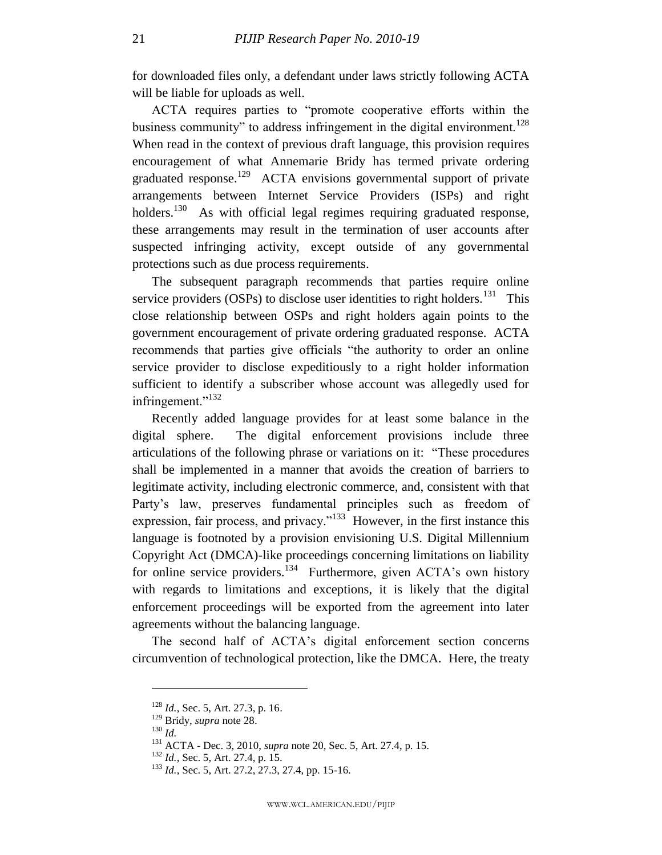for downloaded files only, a defendant under laws strictly following ACTA will be liable for uploads as well.

ACTA requires parties to "promote cooperative efforts within the business community" to address infringement in the digital environment.<sup>128</sup> When read in the context of previous draft language, this provision requires encouragement of what Annemarie Bridy has termed private ordering graduated response.<sup>129</sup> ACTA envisions governmental support of private arrangements between Internet Service Providers (ISPs) and right holders.<sup>130</sup> As with official legal regimes requiring graduated response, these arrangements may result in the termination of user accounts after suspected infringing activity, except outside of any governmental protections such as due process requirements.

The subsequent paragraph recommends that parties require online service providers (OSPs) to disclose user identities to right holders.<sup>131</sup> This close relationship between OSPs and right holders again points to the government encouragement of private ordering graduated response. ACTA recommends that parties give officials "the authority to order an online service provider to disclose expeditiously to a right holder information sufficient to identify a subscriber whose account was allegedly used for infringement."<sup>132</sup>

Recently added language provides for at least some balance in the digital sphere. The digital enforcement provisions include three articulations of the following phrase or variations on it: "These procedures" shall be implemented in a manner that avoids the creation of barriers to legitimate activity, including electronic commerce, and, consistent with that Party's law, preserves fundamental principles such as freedom of expression, fair process, and privacy."<sup>133</sup> However, in the first instance this language is footnoted by a provision envisioning U.S. Digital Millennium Copyright Act (DMCA)-like proceedings concerning limitations on liability for online service providers.<sup>134</sup> Furthermore, given ACTA's own history with regards to limitations and exceptions, it is likely that the digital enforcement proceedings will be exported from the agreement into later agreements without the balancing language.

The second half of ACTA's digital enforcement section concerns circumvention of technological protection, like the DMCA. Here, the treaty

<sup>128</sup> *Id.*, Sec. 5, Art. 27.3, p. 16.

<sup>129</sup> Bridy, *supra* note [28.](#page-7-0)

<sup>130</sup> *Id.*

<sup>131</sup> ACTA - Dec. 3, 2010, *supra* note [20,](#page-5-1) Sec. 5, Art. 27.4, p. 15.

<sup>132</sup> *Id.*, Sec. 5, Art. 27.4, p. 15.

<sup>133</sup> *Id.*, Sec. 5, Art. 27.2, 27.3, 27.4, pp. 15-16.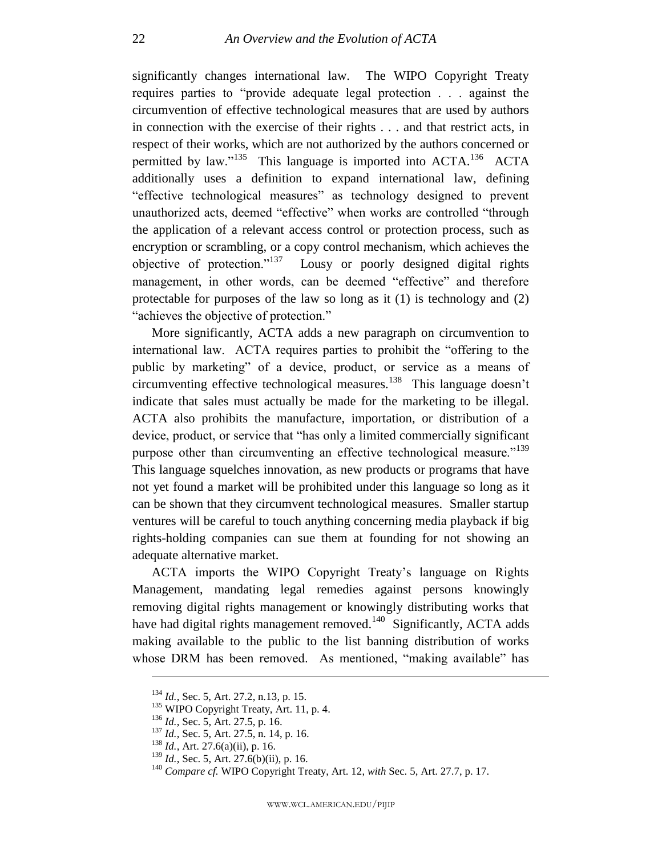significantly changes international law. The WIPO Copyright Treaty requires parties to "provide adequate legal protection . . . against the circumvention of effective technological measures that are used by authors in connection with the exercise of their rights . . . and that restrict acts, in respect of their works, which are not authorized by the authors concerned or permitted by law."<sup>135</sup> This language is imported into  $ACTA$ .<sup>136</sup> ACTA additionally uses a definition to expand international law, defining "effective technological measures" as technology designed to prevent unauthorized acts, deemed "effective" when works are controlled "through the application of a relevant access control or protection process, such as encryption or scrambling, or a copy control mechanism, which achieves the objective of protection." $137$  Lousy or poorly designed digital rights management, in other words, can be deemed "effective" and therefore protectable for purposes of the law so long as it (1) is technology and (2) "achieves the objective of protection."

More significantly, ACTA adds a new paragraph on circumvention to international law. ACTA requires parties to prohibit the "offering to the public by marketing" of a device, product, or service as a means of circumventing effective technological measures.<sup>138</sup> This language doesn't indicate that sales must actually be made for the marketing to be illegal. ACTA also prohibits the manufacture, importation, or distribution of a device, product, or service that "has only a limited commercially significant purpose other than circumventing an effective technological measure."<sup>139</sup> This language squelches innovation, as new products or programs that have not yet found a market will be prohibited under this language so long as it can be shown that they circumvent technological measures. Smaller startup ventures will be careful to touch anything concerning media playback if big rights-holding companies can sue them at founding for not showing an adequate alternative market.

ACTA imports the WIPO Copyright Treaty's language on Rights Management, mandating legal remedies against persons knowingly removing digital rights management or knowingly distributing works that have had digital rights management removed. $140$  Significantly, ACTA adds making available to the public to the list banning distribution of works whose DRM has been removed. As mentioned, "making available" has

<sup>134</sup> *Id.*, Sec. 5, Art. 27.2, n.13, p. 15.

<sup>&</sup>lt;sup>135</sup> WIPO Copyright Treaty, Art. 11, p. 4.

<sup>136</sup> *Id.*, Sec. 5, Art. 27.5, p. 16.

<sup>137</sup> *Id.*, Sec. 5, Art. 27.5, n. 14, p. 16.

<sup>138</sup> *Id.*, Art. 27.6(a)(ii), p. 16.

<sup>&</sup>lt;sup>139</sup> *Id.*, Sec. 5, Art. 27.6(b)(ii), p. 16.

<sup>140</sup> *Compare cf.* WIPO Copyright Treaty, Art. 12, *with* Sec. 5, Art. 27.7, p. 17.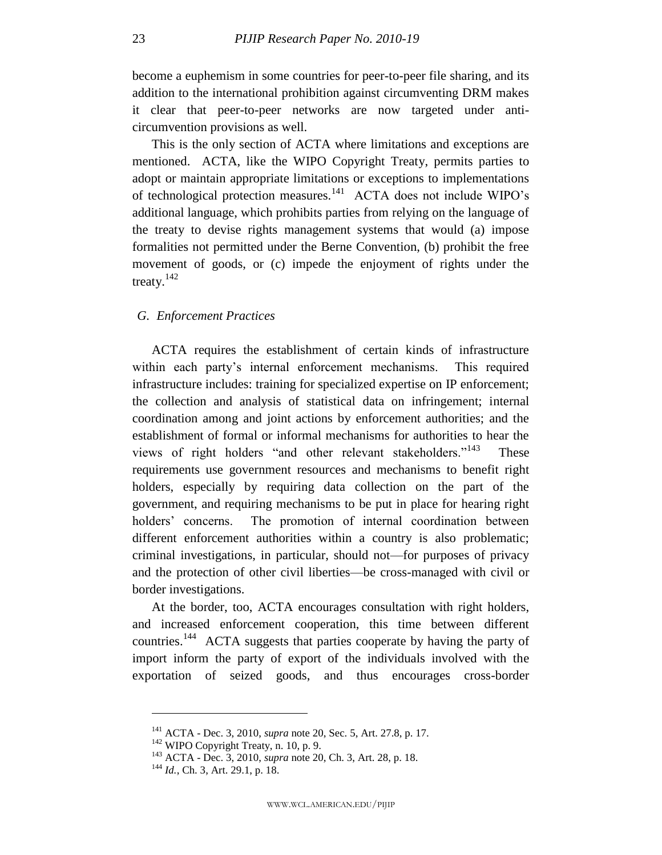become a euphemism in some countries for peer-to-peer file sharing, and its addition to the international prohibition against circumventing DRM makes it clear that peer-to-peer networks are now targeted under anticircumvention provisions as well.

This is the only section of ACTA where limitations and exceptions are mentioned. ACTA, like the WIPO Copyright Treaty, permits parties to adopt or maintain appropriate limitations or exceptions to implementations of technological protection measures.<sup>141</sup> ACTA does not include WIPO's additional language, which prohibits parties from relying on the language of the treaty to devise rights management systems that would (a) impose formalities not permitted under the Berne Convention, (b) prohibit the free movement of goods, or (c) impede the enjoyment of rights under the treaty.<sup>142</sup>

## <span id="page-23-0"></span>*G. Enforcement Practices*

ACTA requires the establishment of certain kinds of infrastructure within each party's internal enforcement mechanisms. This required infrastructure includes: training for specialized expertise on IP enforcement; the collection and analysis of statistical data on infringement; internal coordination among and joint actions by enforcement authorities; and the establishment of formal or informal mechanisms for authorities to hear the views of right holders "and other relevant stakeholders."<sup>143</sup> These requirements use government resources and mechanisms to benefit right holders, especially by requiring data collection on the part of the government, and requiring mechanisms to be put in place for hearing right holders' concerns. The promotion of internal coordination between different enforcement authorities within a country is also problematic; criminal investigations, in particular, should not—for purposes of privacy and the protection of other civil liberties—be cross-managed with civil or border investigations.

At the border, too, ACTA encourages consultation with right holders, and increased enforcement cooperation, this time between different countries.<sup>144</sup> ACTA suggests that parties cooperate by having the party of import inform the party of export of the individuals involved with the exportation of seized goods, and thus encourages cross-border

<sup>141</sup> ACTA - Dec. 3, 2010, *supra* note [20,](#page-5-1) Sec. 5, Art. 27.8, p. 17.

<sup>&</sup>lt;sup>142</sup> WIPO Copyright Treaty, n. 10, p. 9.

<sup>143</sup> ACTA - Dec. 3, 2010, *supra* note [20,](#page-5-1) Ch. 3, Art. 28, p. 18.

<sup>144</sup> *Id.*, Ch. 3, Art. 29.1, p. 18.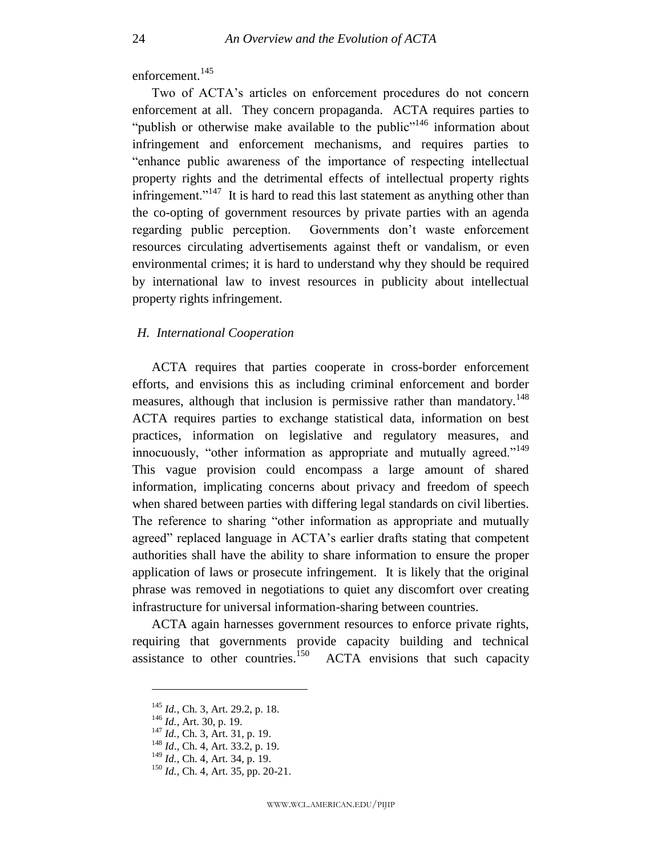enforcement.<sup>145</sup>

Two of ACTA's articles on enforcement procedures do not concern enforcement at all. They concern propaganda. ACTA requires parties to "publish or otherwise make available to the public"<sup>146</sup> information about infringement and enforcement mechanisms, and requires parties to "enhance public awareness of the importance of respecting intellectual property rights and the detrimental effects of intellectual property rights infringement."<sup>147</sup> It is hard to read this last statement as anything other than the co-opting of government resources by private parties with an agenda regarding public perception. Governments don't waste enforcement resources circulating advertisements against theft or vandalism, or even environmental crimes; it is hard to understand why they should be required by international law to invest resources in publicity about intellectual property rights infringement.

## <span id="page-24-0"></span>*H. International Cooperation*

ACTA requires that parties cooperate in cross-border enforcement efforts, and envisions this as including criminal enforcement and border measures, although that inclusion is permissive rather than mandatory.<sup>148</sup> ACTA requires parties to exchange statistical data, information on best practices, information on legislative and regulatory measures, and innocuously, "other information as appropriate and mutually agreed."<sup>149</sup> This vague provision could encompass a large amount of shared information, implicating concerns about privacy and freedom of speech when shared between parties with differing legal standards on civil liberties. The reference to sharing "other information as appropriate and mutually agreed" replaced language in ACTA's earlier drafts stating that competent authorities shall have the ability to share information to ensure the proper application of laws or prosecute infringement. It is likely that the original phrase was removed in negotiations to quiet any discomfort over creating infrastructure for universal information-sharing between countries.

ACTA again harnesses government resources to enforce private rights, requiring that governments provide capacity building and technical assistance to other countries.<sup>150</sup> ACTA envisions that such capacity

<sup>145</sup> *Id.*, Ch. 3, Art. 29.2, p. 18.

<sup>146</sup> *Id.*, Art. 30, p. 19.

<sup>147</sup> *Id.*, Ch. 3, Art. 31, p. 19.

<sup>148</sup> *Id*., Ch. 4, Art. 33.2, p. 19.

<sup>149</sup> *Id.*, Ch. 4, Art. 34, p. 19.

<sup>&</sup>lt;sup>150</sup> *Id.*, Ch. 4, Art. 35, pp. 20-21.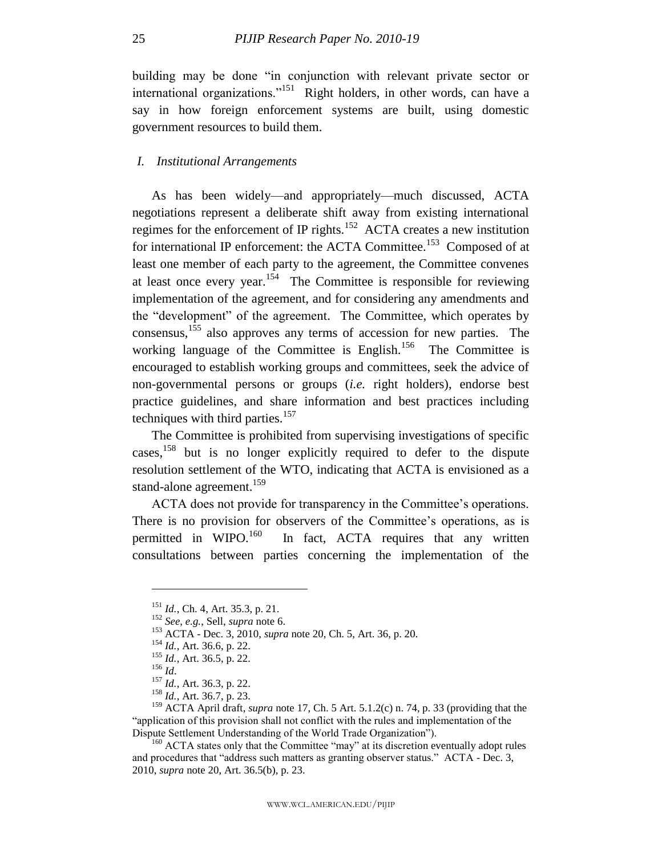building may be done "in conjunction with relevant private sector or international organizations."<sup>151</sup> Right holders, in other words, can have a say in how foreign enforcement systems are built, using domestic government resources to build them.

#### <span id="page-25-0"></span>*I. Institutional Arrangements*

As has been widely—and appropriately—much discussed, ACTA negotiations represent a deliberate shift away from existing international regimes for the enforcement of IP rights.<sup>152</sup> ACTA creates a new institution for international IP enforcement: the ACTA Committee.<sup>153</sup> Composed of at least one member of each party to the agreement, the Committee convenes at least once every year.<sup>154</sup> The Committee is responsible for reviewing implementation of the agreement, and for considering any amendments and the "development" of the agreement. The Committee, which operates by consensus,<sup>155</sup> also approves any terms of accession for new parties. The working language of the Committee is English.<sup>156</sup> The Committee is encouraged to establish working groups and committees, seek the advice of non-governmental persons or groups (*i.e.* right holders), endorse best practice guidelines, and share information and best practices including techniques with third parties.<sup>157</sup>

The Committee is prohibited from supervising investigations of specific cases,<sup>158</sup> but is no longer explicitly required to defer to the dispute resolution settlement of the WTO, indicating that ACTA is envisioned as a stand-alone agreement.<sup>159</sup>

ACTA does not provide for transparency in the Committee's operations. There is no provision for observers of the Committee's operations, as is permitted in  $W \text{IPO}.^{160}$  In fact, ACTA requires that any written consultations between parties concerning the implementation of the

<sup>151</sup> *Id.*, Ch. 4, Art. 35.3, p. 21.

<sup>152</sup> *See, e.g.*, Sell, *supra* not[e 6.](#page-4-0)

<sup>153</sup> ACTA - Dec. 3, 2010, *supra* note [20,](#page-5-1) Ch. 5, Art. 36, p. 20.

<sup>154</sup> *Id.*, Art. 36.6, p. 22.

<sup>155</sup> *Id.*, Art. 36.5, p. 22.

<sup>156</sup> *Id*.

<sup>157</sup> *Id.*, Art. 36.3, p. 22.

<sup>158</sup> *Id.*, Art. 36.7, p. 23.

<sup>159</sup> ACTA April draft, *supra* note [17,](#page-5-3) Ch. 5 Art. 5.1.2(c) n. 74, p. 33 (providing that the ―application of this provision shall not conflict with the rules and implementation of the Dispute Settlement Understanding of the World Trade Organization").

 $160$  ACTA states only that the Committee "may" at its discretion eventually adopt rules and procedures that "address such matters as granting observer status."  $\angle$  ACTA - Dec. 3, 2010, *supra* note [20,](#page-5-1) Art. 36.5(b), p. 23.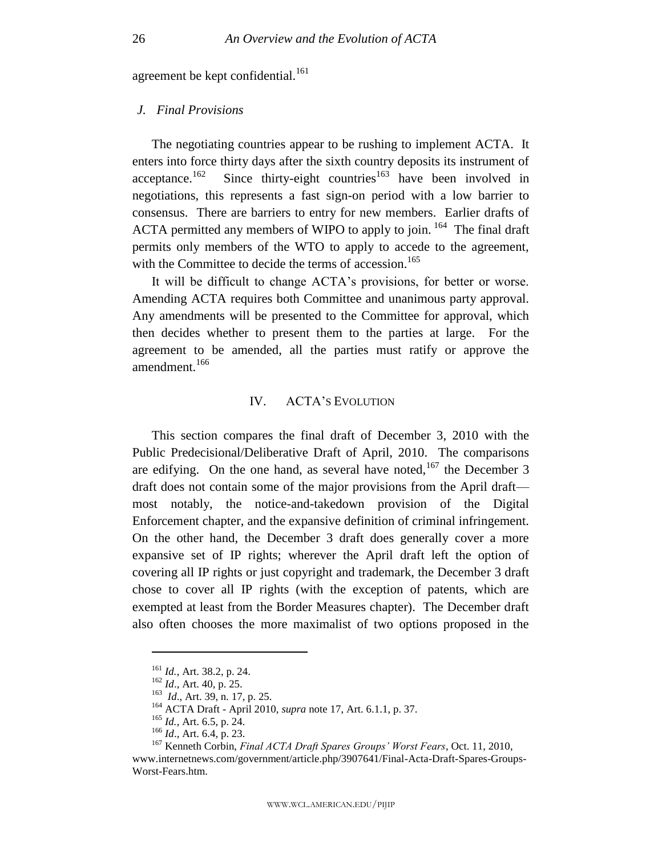agreement be kept confidential.<sup>161</sup>

## <span id="page-26-0"></span>*J. Final Provisions*

The negotiating countries appear to be rushing to implement ACTA. It enters into force thirty days after the sixth country deposits its instrument of acceptance.<sup>162</sup> Since thirty-eight countries<sup>163</sup> have been involved in negotiations, this represents a fast sign-on period with a low barrier to consensus. There are barriers to entry for new members. Earlier drafts of ACTA permitted any members of WIPO to apply to join.  $164$  The final draft permits only members of the WTO to apply to accede to the agreement, with the Committee to decide the terms of accession.<sup>165</sup>

It will be difficult to change ACTA's provisions, for better or worse. Amending ACTA requires both Committee and unanimous party approval. Any amendments will be presented to the Committee for approval, which then decides whether to present them to the parties at large. For the agreement to be amended, all the parties must ratify or approve the amendment.<sup>166</sup>

#### IV. ACTA'S EVOLUTION

<span id="page-26-1"></span>This section compares the final draft of December 3, 2010 with the Public Predecisional/Deliberative Draft of April, 2010. The comparisons are edifying. On the one hand, as several have noted,  $167$  the December 3 draft does not contain some of the major provisions from the April draft most notably, the notice-and-takedown provision of the Digital Enforcement chapter, and the expansive definition of criminal infringement. On the other hand, the December 3 draft does generally cover a more expansive set of IP rights; wherever the April draft left the option of covering all IP rights or just copyright and trademark, the December 3 draft chose to cover all IP rights (with the exception of patents, which are exempted at least from the Border Measures chapter). The December draft also often chooses the more maximalist of two options proposed in the

<sup>161</sup> *Id.*, Art. 38.2, p. 24.

<sup>162</sup> *Id*., Art. 40, p. 25.

<sup>&</sup>lt;sup>163</sup> *Id.*, Art. 39, n. 17, p. 25.

<sup>164</sup> ACTA Draft - April 2010, *supra* note [17,](#page-5-3) Art. 6.1.1, p. 37.

<sup>165</sup> *Id.*, Art. 6.5, p. 24.

<sup>166</sup> *Id*., Art. 6.4, p. 23.

<sup>167</sup> Kenneth Corbin, *Final ACTA Draft Spares Groups' Worst Fears*, Oct. 11, 2010,

www.internetnews.com/government/article.php/3907641/Final-Acta-Draft-Spares-Groups-Worst-Fears.htm.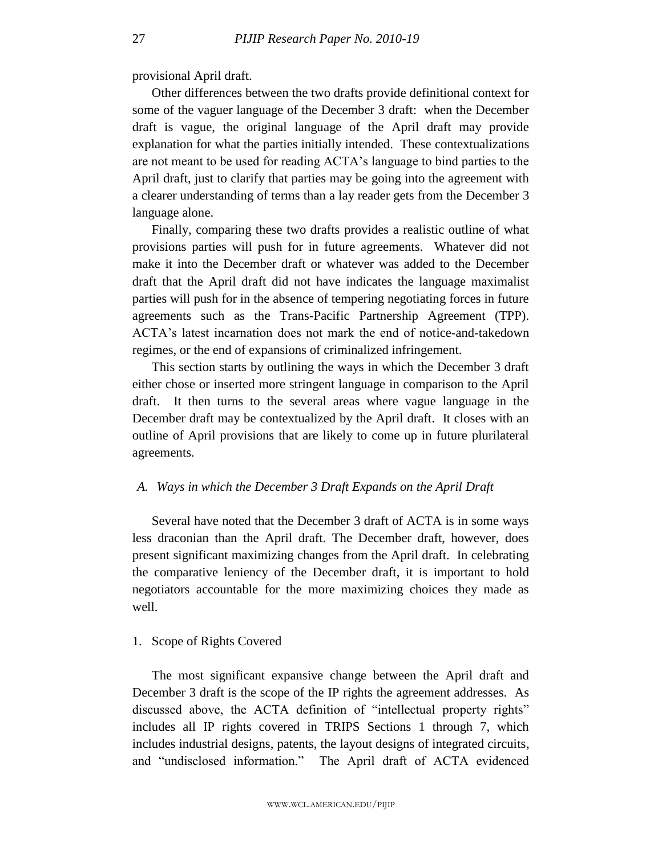provisional April draft.

Other differences between the two drafts provide definitional context for some of the vaguer language of the December 3 draft: when the December draft is vague, the original language of the April draft may provide explanation for what the parties initially intended. These contextualizations are not meant to be used for reading ACTA's language to bind parties to the April draft, just to clarify that parties may be going into the agreement with a clearer understanding of terms than a lay reader gets from the December 3 language alone.

Finally, comparing these two drafts provides a realistic outline of what provisions parties will push for in future agreements. Whatever did not make it into the December draft or whatever was added to the December draft that the April draft did not have indicates the language maximalist parties will push for in the absence of tempering negotiating forces in future agreements such as the Trans-Pacific Partnership Agreement (TPP). ACTA's latest incarnation does not mark the end of notice-and-takedown regimes, or the end of expansions of criminalized infringement.

This section starts by outlining the ways in which the December 3 draft either chose or inserted more stringent language in comparison to the April draft. It then turns to the several areas where vague language in the December draft may be contextualized by the April draft. It closes with an outline of April provisions that are likely to come up in future plurilateral agreements.

## <span id="page-27-0"></span>*A. Ways in which the December 3 Draft Expands on the April Draft*

Several have noted that the December 3 draft of ACTA is in some ways less draconian than the April draft. The December draft, however, does present significant maximizing changes from the April draft. In celebrating the comparative leniency of the December draft, it is important to hold negotiators accountable for the more maximizing choices they made as well.

#### <span id="page-27-1"></span>1. Scope of Rights Covered

The most significant expansive change between the April draft and December 3 draft is the scope of the IP rights the agreement addresses. As discussed above, the ACTA definition of "intellectual property rights" includes all IP rights covered in TRIPS Sections 1 through 7, which includes industrial designs, patents, the layout designs of integrated circuits, and "undisclosed information." The April draft of ACTA evidenced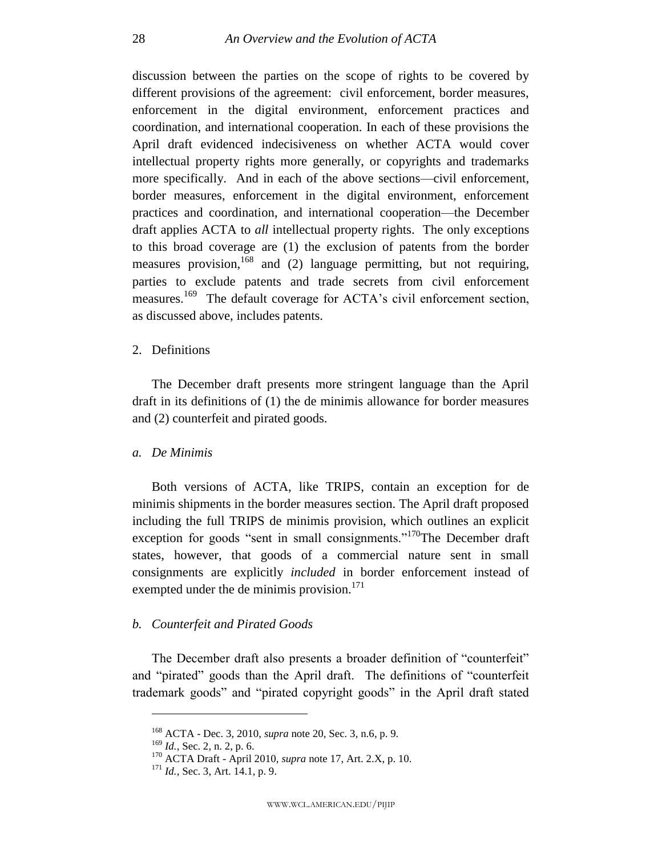discussion between the parties on the scope of rights to be covered by different provisions of the agreement: civil enforcement, border measures, enforcement in the digital environment, enforcement practices and coordination, and international cooperation. In each of these provisions the April draft evidenced indecisiveness on whether ACTA would cover intellectual property rights more generally, or copyrights and trademarks more specifically. And in each of the above sections—civil enforcement, border measures, enforcement in the digital environment, enforcement practices and coordination, and international cooperation—the December draft applies ACTA to *all* intellectual property rights. The only exceptions to this broad coverage are (1) the exclusion of patents from the border measures provision,<sup>168</sup> and (2) language permitting, but not requiring, parties to exclude patents and trade secrets from civil enforcement measures.<sup>169</sup> The default coverage for ACTA's civil enforcement section, as discussed above, includes patents.

#### <span id="page-28-0"></span>2. Definitions

The December draft presents more stringent language than the April draft in its definitions of (1) the de minimis allowance for border measures and (2) counterfeit and pirated goods.

#### *a. De Minimis*

Both versions of ACTA, like TRIPS, contain an exception for de minimis shipments in the border measures section. The April draft proposed including the full TRIPS de minimis provision, which outlines an explicit exception for goods "sent in small consignments."<sup>170</sup>The December draft states, however, that goods of a commercial nature sent in small consignments are explicitly *included* in border enforcement instead of exempted under the de minimis provision.<sup>171</sup>

## *b. Counterfeit and Pirated Goods*

The December draft also presents a broader definition of "counterfeit" and "pirated" goods than the April draft. The definitions of "counterfeit" trademark goods" and "pirated copyright goods" in the April draft stated

<sup>168</sup> ACTA - Dec. 3, 2010, *supra* note [20,](#page-5-1) Sec. 3, n.6, p. 9.

<sup>169</sup> *Id.*, Sec. 2, n. 2, p. 6.

<sup>170</sup> ACTA Draft - April 2010, *supra* note [17,](#page-5-3) Art. 2.X, p. 10.

<sup>171</sup> *Id.*, Sec. 3, Art. 14.1, p. 9.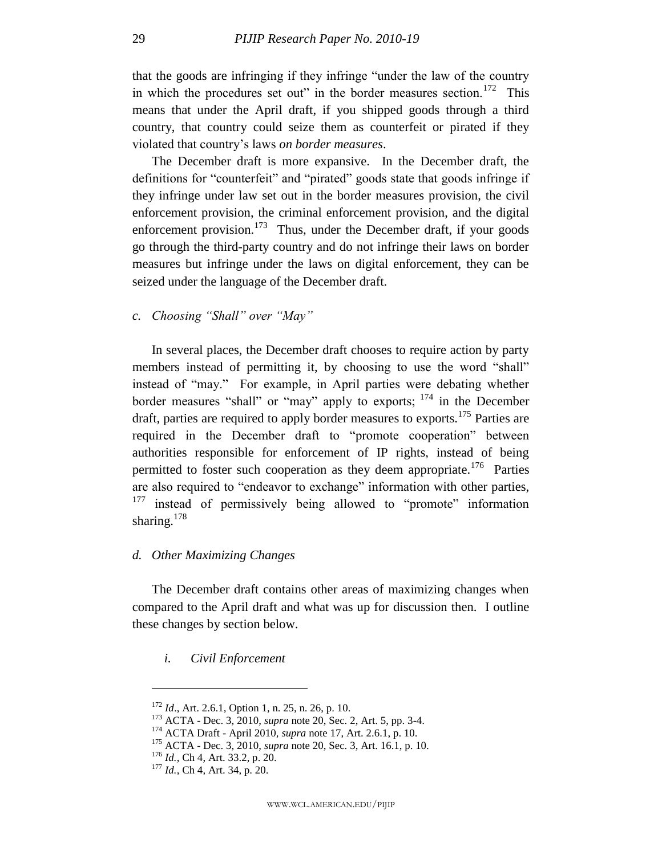that the goods are infringing if they infringe "under the law of the country in which the procedures set out" in the border measures section.<sup>172</sup> This means that under the April draft, if you shipped goods through a third country, that country could seize them as counterfeit or pirated if they violated that country's laws *on border measures*.

The December draft is more expansive. In the December draft, the definitions for "counterfeit" and "pirated" goods state that goods infringe if they infringe under law set out in the border measures provision, the civil enforcement provision, the criminal enforcement provision, and the digital enforcement provision.<sup>173</sup> Thus, under the December draft, if your goods go through the third-party country and do not infringe their laws on border measures but infringe under the laws on digital enforcement, they can be seized under the language of the December draft.

## *c. Choosing "Shall" over "May"*

In several places, the December draft chooses to require action by party members instead of permitting it, by choosing to use the word "shall" instead of "may." For example, in April parties were debating whether border measures "shall" or "may" apply to exports;  $^{174}$  in the December draft, parties are required to apply border measures to exports.<sup>175</sup> Parties are required in the December draft to "promote cooperation" between authorities responsible for enforcement of IP rights, instead of being permitted to foster such cooperation as they deem appropriate.<sup>176</sup> Parties are also required to "endeavor to exchange" information with other parties,  $177$  instead of permissively being allowed to "promote" information sharing. $178$ 

## *d. Other Maximizing Changes*

The December draft contains other areas of maximizing changes when compared to the April draft and what was up for discussion then. I outline these changes by section below.

## *i. Civil Enforcement*

<sup>172</sup> *Id*., Art. 2.6.1, Option 1, n. 25, n. 26, p. 10.

<sup>173</sup> ACTA - Dec. 3, 2010, *supra* note [20,](#page-5-1) Sec. 2, Art. 5, pp. 3-4.

<sup>174</sup> ACTA Draft - April 2010, *supra* note [17,](#page-5-3) Art. 2.6.1, p. 10.

<sup>175</sup> ACTA - Dec. 3, 2010, *supra* note [20,](#page-5-1) Sec. 3, Art. 16.1, p. 10.

<sup>176</sup> *Id.*, Ch 4, Art. 33.2, p. 20.

<sup>177</sup> *Id.*, Ch 4, Art. 34, p. 20.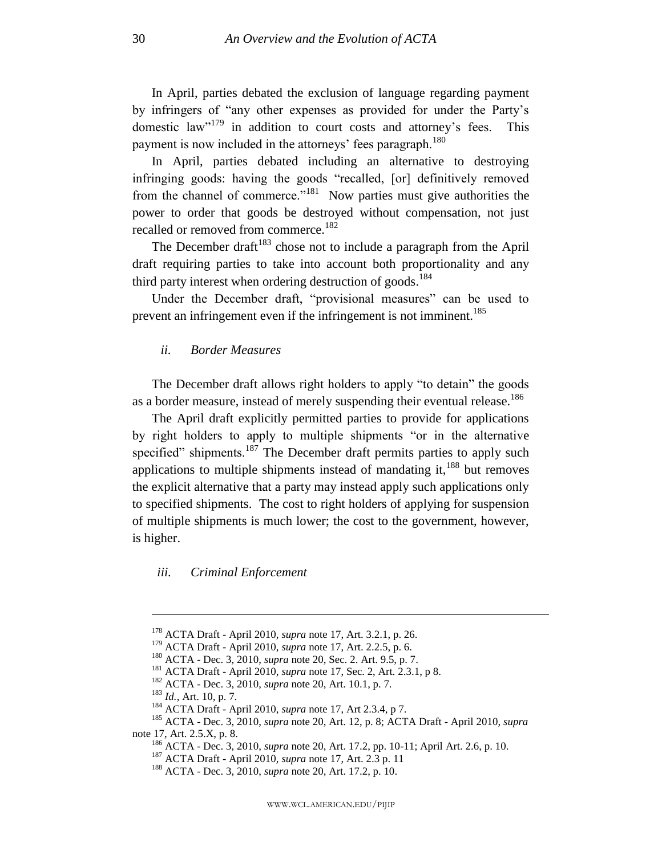In April, parties debated the exclusion of language regarding payment by infringers of "any other expenses as provided for under the Party's domestic  $law''^{179}$  in addition to court costs and attorney's fees. This payment is now included in the attorneys' fees paragraph.<sup>180</sup>

In April, parties debated including an alternative to destroying infringing goods: having the goods "recalled, [or] definitively removed from the channel of commerce."<sup>181</sup> Now parties must give authorities the power to order that goods be destroyed without compensation, not just recalled or removed from commerce.<sup>182</sup>

The December draft<sup>183</sup> chose not to include a paragraph from the April draft requiring parties to take into account both proportionality and any third party interest when ordering destruction of goods.<sup>184</sup>

Under the December draft, "provisional measures" can be used to prevent an infringement even if the infringement is not imminent.<sup>185</sup>

## *ii. Border Measures*

The December draft allows right holders to apply "to detain" the goods as a border measure, instead of merely suspending their eventual release.<sup>186</sup>

The April draft explicitly permitted parties to provide for applications by right holders to apply to multiple shipments "or in the alternative specified" shipments.<sup>187</sup> The December draft permits parties to apply such applications to multiple shipments instead of mandating it, $188$  but removes the explicit alternative that a party may instead apply such applications only to specified shipments. The cost to right holders of applying for suspension of multiple shipments is much lower; the cost to the government, however, is higher.

*iii. Criminal Enforcement*

<sup>178</sup> ACTA Draft - April 2010, *supra* note [17,](#page-5-3) Art. 3.2.1, p. 26.

<sup>179</sup> ACTA Draft - April 2010, *supra* note [17,](#page-5-3) Art. 2.2.5, p. 6.

<sup>180</sup> ACTA - Dec. 3, 2010, *supra* note [20,](#page-5-1) Sec. 2. Art. 9.5, p. 7.

<sup>181</sup> ACTA Draft - April 2010, *supra* note [17,](#page-5-3) Sec. 2, Art. 2.3.1, p 8.

<sup>182</sup> ACTA - Dec. 3, 2010, *supra* note [20,](#page-5-1) Art. 10.1, p. 7.

<sup>183</sup> *Id.*, Art. 10, p. 7.

<sup>184</sup> ACTA Draft - April 2010, *supra* note [17,](#page-5-3) Art 2.3.4, p 7.

<sup>185</sup> ACTA - Dec. 3, 2010, *supra* note [20,](#page-5-1) Art. 12, p. 8; ACTA Draft - April 2010, *supra*  note [17,](#page-5-3) Art. 2.5.X, p. 8.

<sup>186</sup> ACTA - Dec. 3, 2010, *supra* note [20,](#page-5-1) Art. 17.2, pp. 10-11; April Art. 2.6, p. 10.

<sup>187</sup> ACTA Draft - April 2010, *supra* note [17,](#page-5-3) Art. 2.3 p. 11

<sup>188</sup> ACTA - Dec. 3, 2010, *supra* note [20,](#page-5-1) Art. 17.2, p. 10.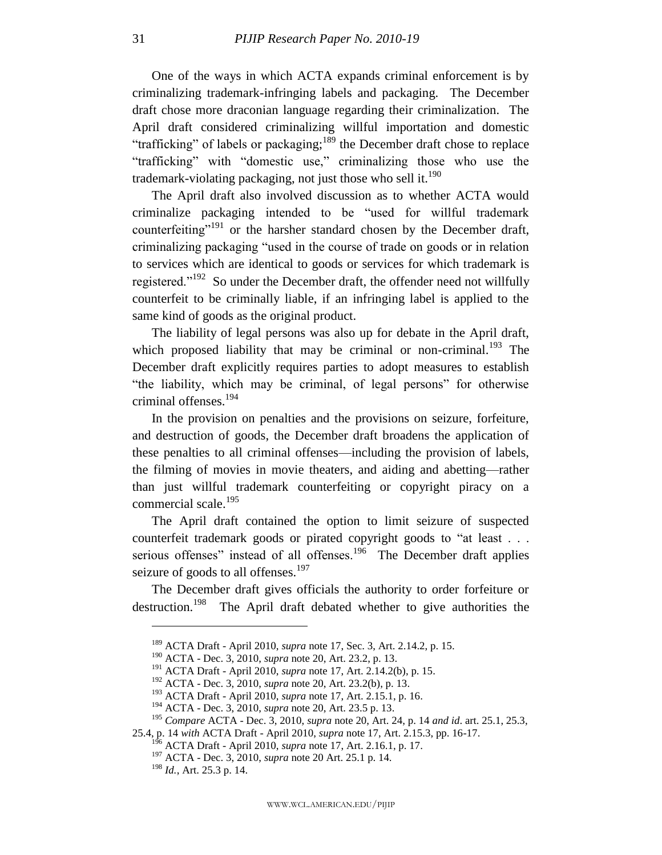One of the ways in which ACTA expands criminal enforcement is by criminalizing trademark-infringing labels and packaging. The December draft chose more draconian language regarding their criminalization. The April draft considered criminalizing willful importation and domestic "trafficking" of labels or packaging;<sup>189</sup> the December draft chose to replace "trafficking" with "domestic use," criminalizing those who use the trademark-violating packaging, not just those who sell it.<sup>190</sup>

The April draft also involved discussion as to whether ACTA would criminalize packaging intended to be "used for willful trademark counterfeiting"<sup>191</sup> or the harsher standard chosen by the December draft, criminalizing packaging "used in the course of trade on goods or in relation to services which are identical to goods or services for which trademark is registered."<sup>192</sup> So under the December draft, the offender need not willfully counterfeit to be criminally liable, if an infringing label is applied to the same kind of goods as the original product.

The liability of legal persons was also up for debate in the April draft, which proposed liability that may be criminal or non-criminal.<sup>193</sup> The December draft explicitly requires parties to adopt measures to establish ―the liability, which may be criminal, of legal persons‖ for otherwise criminal offenses. 194

In the provision on penalties and the provisions on seizure, forfeiture, and destruction of goods, the December draft broadens the application of these penalties to all criminal offenses—including the provision of labels, the filming of movies in movie theaters, and aiding and abetting—rather than just willful trademark counterfeiting or copyright piracy on a commercial scale. $195$ 

The April draft contained the option to limit seizure of suspected counterfeit trademark goods or pirated copyright goods to "at least . . . serious offenses" instead of all offenses.<sup>196</sup> The December draft applies seizure of goods to all offenses.<sup>197</sup>

The December draft gives officials the authority to order forfeiture or destruction.<sup>198</sup> The April draft debated whether to give authorities the

<sup>189</sup> ACTA Draft - April 2010, *supra* note [17,](#page-5-3) Sec. 3, Art. 2.14.2, p. 15.

<sup>190</sup> ACTA - Dec. 3, 2010, *supra* note [20,](#page-5-1) Art. 23.2, p. 13.

<sup>191</sup> ACTA Draft - April 2010, *supra* note [17,](#page-5-3) Art. 2.14.2(b), p. 15.

<sup>192</sup> ACTA - Dec. 3, 2010, *supra* note [20,](#page-5-1) Art. 23.2(b), p. 13.

<sup>193</sup> ACTA Draft - April 2010, *supra* note [17,](#page-5-3) Art. 2.15.1, p. 16.

<sup>194</sup> ACTA - Dec. 3, 2010, *supra* note [20,](#page-5-1) Art. 23.5 p. 13.

<sup>195</sup> *Compare* ACTA - Dec. 3, 2010, *supra* note [20,](#page-5-1) Art. 24, p. 14 *and id*. art. 25.1, 25.3,

<sup>25.4,</sup> p. 14 *with* ACTA Draft - April 2010, *supra* note [17,](#page-5-3) Art. 2.15.3, pp. 16-17.

<sup>196</sup> ACTA Draft - April 2010, *supra* note [17,](#page-5-3) Art. 2.16.1, p. 17.

<sup>197</sup> ACTA - Dec. 3, 2010, *supra* note [20](#page-5-1) Art. 25.1 p. 14.

<sup>198</sup> *Id.*, Art. 25.3 p. 14.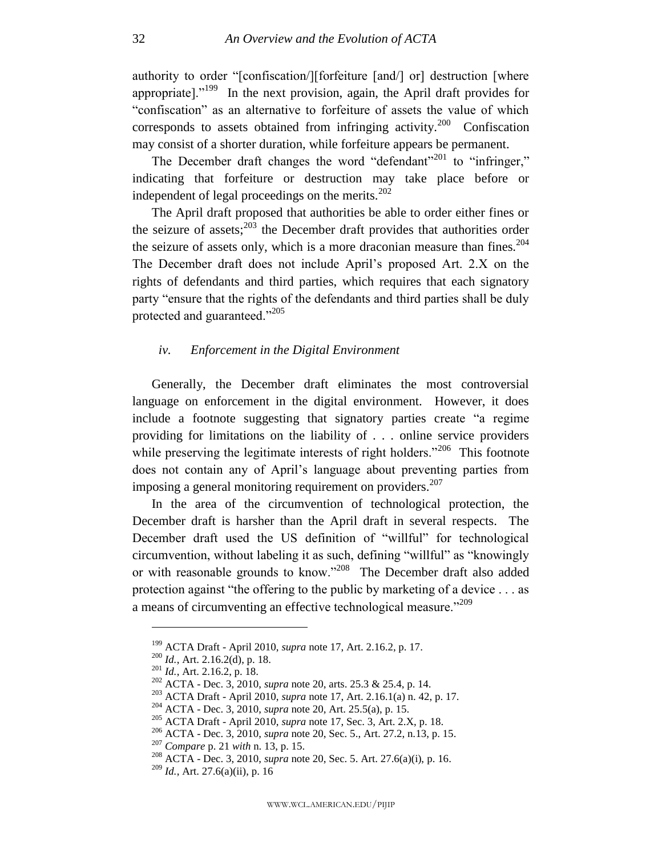authority to order "[confiscation/][forfeiture [and/] or] destruction [where appropriate].<sup> $199$ </sup> In the next provision, again, the April draft provides for "confiscation" as an alternative to forfeiture of assets the value of which corresponds to assets obtained from infringing activity.<sup>200</sup> Confiscation may consist of a shorter duration, while forfeiture appears be permanent.

The December draft changes the word "defendant"<sup>201</sup> to "infringer," indicating that forfeiture or destruction may take place before or independent of legal proceedings on the merits. $202$ 

The April draft proposed that authorities be able to order either fines or the seizure of assets;  $2^{03}$  the December draft provides that authorities order the seizure of assets only, which is a more draconian measure than fines.<sup>204</sup> The December draft does not include April's proposed Art. 2.X on the rights of defendants and third parties, which requires that each signatory party "ensure that the rights of the defendants and third parties shall be duly protected and guaranteed."<sup>205</sup>

## *iv. Enforcement in the Digital Environment*

Generally, the December draft eliminates the most controversial language on enforcement in the digital environment. However, it does include a footnote suggesting that signatory parties create "a regime providing for limitations on the liability of . . . online service providers while preserving the legitimate interests of right holders."<sup>206</sup> This footnote does not contain any of April's language about preventing parties from imposing a general monitoring requirement on providers.<sup>207</sup>

In the area of the circumvention of technological protection, the December draft is harsher than the April draft in several respects. The December draft used the US definition of "willful" for technological circumvention, without labeling it as such, defining "willful" as "knowingly or with reasonable grounds to know."<sup>208</sup> The December draft also added protection against "the offering to the public by marketing of a device  $\dots$  as a means of circumventing an effective technological measure."<sup>209</sup>

<sup>199</sup> ACTA Draft - April 2010, *supra* note [17,](#page-5-3) Art. 2.16.2, p. 17.

<sup>200</sup> *Id.*, Art. 2.16.2(d), p. 18.

<sup>201</sup> *Id.*, Art. 2.16.2, p. 18.

<sup>202</sup> ACTA - Dec. 3, 2010, *supra* note [20,](#page-5-1) arts. 25.3 & 25.4, p. 14.

<sup>203</sup> ACTA Draft - April 2010, *supra* note [17,](#page-5-3) Art. 2.16.1(a) n. 42, p. 17.

<sup>204</sup> ACTA - Dec. 3, 2010, *supra* note [20,](#page-5-1) Art. 25.5(a), p. 15.

<sup>205</sup> ACTA Draft - April 2010, *supra* note [17,](#page-5-3) Sec. 3, Art. 2.X, p. 18.

<sup>206</sup> ACTA - Dec. 3, 2010, *supra* note [20,](#page-5-1) Sec. 5., Art. 27.2, n.13, p. 15.

<sup>207</sup> *Compare* p. 21 *with* n. 13, p. 15.

<sup>208</sup> ACTA - Dec. 3, 2010, *supra* note [20,](#page-5-1) Sec. 5. Art. 27.6(a)(i), p. 16.

<sup>209</sup> *Id.*, Art. 27.6(a)(ii), p. 16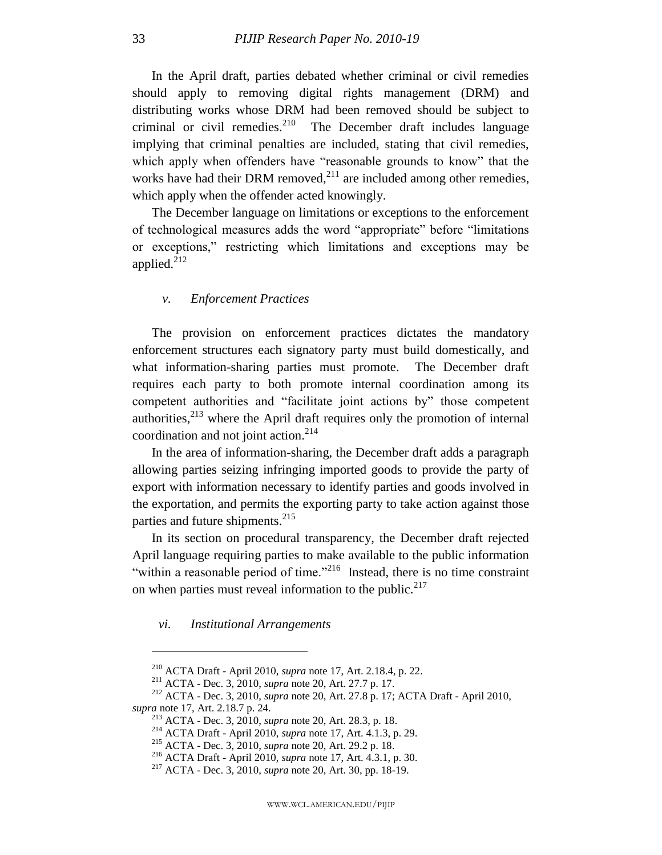In the April draft, parties debated whether criminal or civil remedies should apply to removing digital rights management (DRM) and distributing works whose DRM had been removed should be subject to criminal or civil remedies. $2^{10}$  The December draft includes language implying that criminal penalties are included, stating that civil remedies, which apply when offenders have "reasonable grounds to know" that the works have had their DRM removed, $^{211}$  are included among other remedies, which apply when the offender acted knowingly.

The December language on limitations or exceptions to the enforcement of technological measures adds the word "appropriate" before "limitations" or exceptions,‖ restricting which limitations and exceptions may be applied.<sup>212</sup>

## *v. Enforcement Practices*

The provision on enforcement practices dictates the mandatory enforcement structures each signatory party must build domestically, and what information-sharing parties must promote. The December draft requires each party to both promote internal coordination among its competent authorities and "facilitate joint actions by" those competent authorities, $2^{13}$  where the April draft requires only the promotion of internal coordination and not joint action.<sup>214</sup>

In the area of information-sharing, the December draft adds a paragraph allowing parties seizing infringing imported goods to provide the party of export with information necessary to identify parties and goods involved in the exportation, and permits the exporting party to take action against those parties and future shipments.<sup>215</sup>

In its section on procedural transparency, the December draft rejected April language requiring parties to make available to the public information "within a reasonable period of time."<sup>216</sup> Instead, there is no time constraint on when parties must reveal information to the public. $217$ 

*vi. Institutional Arrangements*

<sup>210</sup> ACTA Draft - April 2010, *supra* note [17,](#page-5-3) Art. 2.18.4, p. 22.

<sup>211</sup> ACTA - Dec. 3, 2010, *supra* note [20,](#page-5-1) Art. 27.7 p. 17.

<sup>212</sup> ACTA - Dec. 3, 2010, *supra* note [20,](#page-5-1) Art. 27.8 p. 17; ACTA Draft - April 2010, *supra* note [17,](#page-5-3) Art. 2.18.7 p. 24.

<sup>213</sup> ACTA - Dec. 3, 2010, *supra* note [20,](#page-5-1) Art. 28.3, p. 18.

<sup>214</sup> ACTA Draft - April 2010, *supra* note [17,](#page-5-3) Art. 4.1.3, p. 29.

<sup>215</sup> ACTA - Dec. 3, 2010, *supra* note [20,](#page-5-1) Art. 29.2 p. 18.

<sup>216</sup> ACTA Draft - April 2010, *supra* note [17,](#page-5-3) Art. 4.3.1, p. 30.

<sup>217</sup> ACTA - Dec. 3, 2010, *supra* note [20,](#page-5-1) Art. 30, pp. 18-19.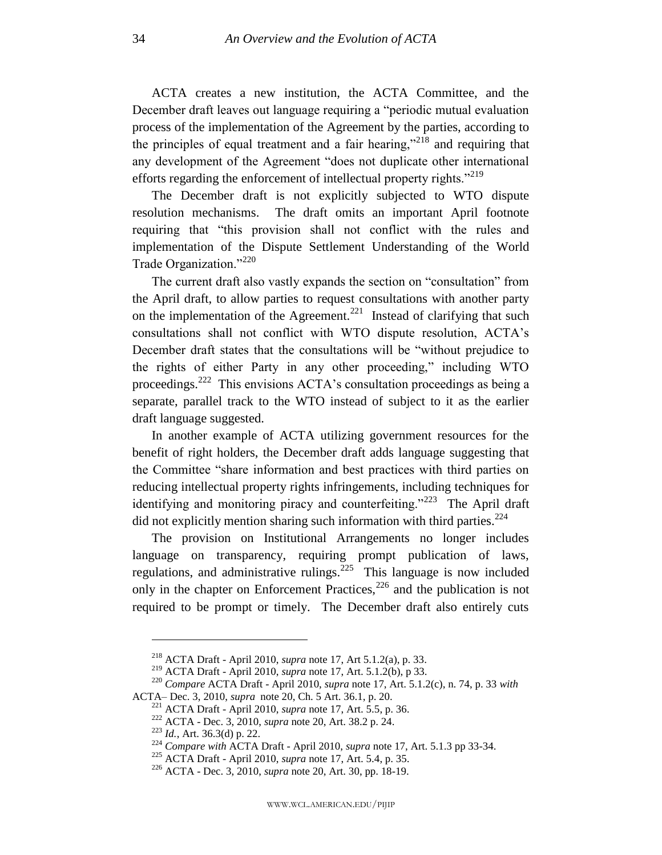ACTA creates a new institution, the ACTA Committee, and the December draft leaves out language requiring a "periodic mutual evaluation process of the implementation of the Agreement by the parties, according to the principles of equal treatment and a fair hearing,<sup>218</sup> and requiring that any development of the Agreement "does not duplicate other international efforts regarding the enforcement of intellectual property rights. $2^{219}$ 

The December draft is not explicitly subjected to WTO dispute resolution mechanisms. The draft omits an important April footnote requiring that "this provision shall not conflict with the rules and implementation of the Dispute Settlement Understanding of the World Trade Organization."<sup>220</sup>

The current draft also vastly expands the section on "consultation" from the April draft, to allow parties to request consultations with another party on the implementation of the Agreement.<sup>221</sup> Instead of clarifying that such consultations shall not conflict with WTO dispute resolution, ACTA's December draft states that the consultations will be "without prejudice to the rights of either Party in any other proceeding," including WTO proceedings.<sup>222</sup> This envisions ACTA's consultation proceedings as being a separate, parallel track to the WTO instead of subject to it as the earlier draft language suggested.

In another example of ACTA utilizing government resources for the benefit of right holders, the December draft adds language suggesting that the Committee "share information and best practices with third parties on reducing intellectual property rights infringements, including techniques for identifying and monitoring piracy and counterfeiting.<sup>7223</sup> The April draft did not explicitly mention sharing such information with third parties.<sup>224</sup>

The provision on Institutional Arrangements no longer includes language on transparency, requiring prompt publication of laws, regulations, and administrative rulings.<sup>225</sup> This language is now included only in the chapter on Enforcement Practices,  $226$  and the publication is not required to be prompt or timely. The December draft also entirely cuts

<sup>218</sup> ACTA Draft - April 2010, *supra* note [17,](#page-5-3) Art 5.1.2(a), p. 33.

<sup>219</sup> ACTA Draft - April 2010, *supra* note [17,](#page-5-3) Art. 5.1.2(b), p 33.

<sup>220</sup> *Compare* ACTA Draft - April 2010, *supra* note [17,](#page-5-3) Art. 5.1.2(c), n. 74, p. 33 *with* ACTA– Dec. 3, 2010, *supra* not[e 20,](#page-5-1) Ch. 5 Art. 36.1, p. 20.

<sup>221</sup> ACTA Draft - April 2010, *supra* note [17,](#page-5-3) Art. 5.5, p. 36.

<sup>222</sup> ACTA - Dec. 3, 2010, *supra* note [20,](#page-5-1) Art. 38.2 p. 24.

<sup>223</sup> *Id.*, Art. 36.3(d) p. 22.

<sup>224</sup> *Compare with* ACTA Draft - April 2010, *supra* note [17,](#page-5-3) Art. 5.1.3 pp 33-34.

<sup>225</sup> ACTA Draft - April 2010, *supra* note [17,](#page-5-3) Art. 5.4, p. 35.

<sup>226</sup> ACTA - Dec. 3, 2010, *supra* note [20,](#page-5-1) Art. 30, pp. 18-19.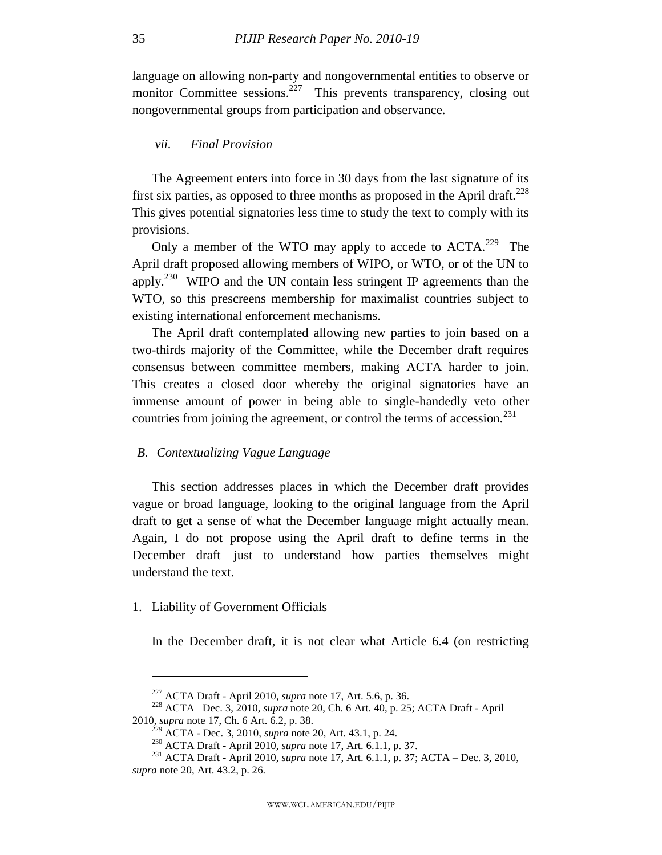language on allowing non-party and nongovernmental entities to observe or monitor Committee sessions.<sup>227</sup> This prevents transparency, closing out nongovernmental groups from participation and observance.

## *vii. Final Provision*

The Agreement enters into force in 30 days from the last signature of its first six parties, as opposed to three months as proposed in the April draft.<sup>228</sup> This gives potential signatories less time to study the text to comply with its provisions.

Only a member of the WTO may apply to accede to  $ACTA$ .<sup>229</sup> The April draft proposed allowing members of WIPO, or WTO, or of the UN to apply.<sup>230</sup> WIPO and the UN contain less stringent IP agreements than the WTO, so this prescreens membership for maximalist countries subject to existing international enforcement mechanisms.

The April draft contemplated allowing new parties to join based on a two-thirds majority of the Committee, while the December draft requires consensus between committee members, making ACTA harder to join. This creates a closed door whereby the original signatories have an immense amount of power in being able to single-handedly veto other countries from joining the agreement, or control the terms of accession.<sup>231</sup>

#### <span id="page-35-0"></span>*B. Contextualizing Vague Language*

This section addresses places in which the December draft provides vague or broad language, looking to the original language from the April draft to get a sense of what the December language might actually mean. Again, I do not propose using the April draft to define terms in the December draft—just to understand how parties themselves might understand the text.

## <span id="page-35-1"></span>1. Liability of Government Officials

In the December draft, it is not clear what Article 6.4 (on restricting

<sup>227</sup> ACTA Draft - April 2010, *supra* note [17,](#page-5-3) Art. 5.6, p. 36.

<sup>228</sup> ACTA– Dec. 3, 2010, *supra* note [20,](#page-5-1) Ch. 6 Art. 40, p. 25; ACTA Draft - April

<sup>2010,</sup> *supra* note [17,](#page-5-3) Ch. 6 Art. 6.2, p. 38.

<sup>229</sup> ACTA - Dec. 3, 2010, *supra* note [20,](#page-5-1) Art. 43.1, p. 24.

<sup>230</sup> ACTA Draft - April 2010, *supra* note [17,](#page-5-3) Art. 6.1.1, p. 37.

<sup>231</sup> ACTA Draft - April 2010, *supra* note [17,](#page-5-3) Art. 6.1.1, p. 37; ACTA – Dec. 3, 2010, *supra* note [20,](#page-5-1) Art. 43.2, p. 26.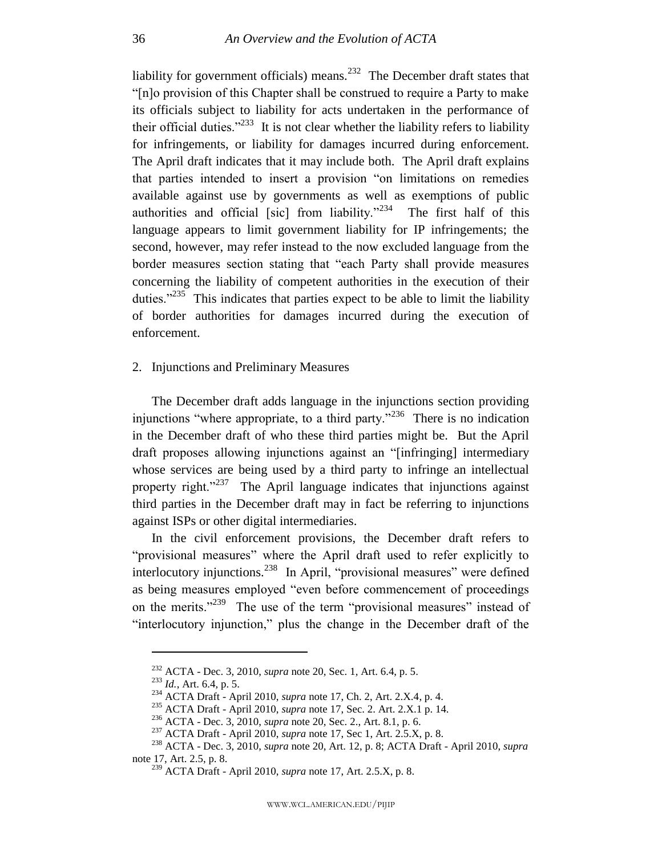liability for government officials) means.<sup>232</sup> The December draft states that "[n]o provision of this Chapter shall be construed to require a Party to make its officials subject to liability for acts undertaken in the performance of their official duties.<sup> $233$ </sup> It is not clear whether the liability refers to liability for infringements, or liability for damages incurred during enforcement. The April draft indicates that it may include both. The April draft explains that parties intended to insert a provision "on limitations on remedies available against use by governments as well as exemptions of public authorities and official [sic] from liability."<sup>234</sup> The first half of this language appears to limit government liability for IP infringements; the second, however, may refer instead to the now excluded language from the border measures section stating that "each Party shall provide measures" concerning the liability of competent authorities in the execution of their duties."<sup>235</sup> This indicates that parties expect to be able to limit the liability of border authorities for damages incurred during the execution of enforcement.

<span id="page-36-0"></span>2. Injunctions and Preliminary Measures

The December draft adds language in the injunctions section providing injunctions "where appropriate, to a third party."<sup>236</sup> There is no indication in the December draft of who these third parties might be. But the April draft proposes allowing injunctions against an "[infringing] intermediary whose services are being used by a third party to infringe an intellectual property right."<sup>237</sup> The April language indicates that injunctions against third parties in the December draft may in fact be referring to injunctions against ISPs or other digital intermediaries.

In the civil enforcement provisions, the December draft refers to "provisional measures" where the April draft used to refer explicitly to interlocutory injunctions.<sup>238</sup> In April, "provisional measures" were defined as being measures employed "even before commencement of proceedings on the merits. $1239$  The use of the term "provisional measures" instead of "interlocutory injunction," plus the change in the December draft of the

<sup>232</sup> ACTA - Dec. 3, 2010, *supra* note [20,](#page-5-1) Sec. 1, Art. 6.4, p. 5.

<sup>233</sup> *Id.*, Art. 6.4, p. 5.

<sup>234</sup> ACTA Draft - April 2010, *supra* note [17,](#page-5-3) Ch. 2, Art. 2.X.4, p. 4.

<sup>235</sup> ACTA Draft - April 2010, *supra* note [17,](#page-5-3) Sec. 2. Art. 2.X.1 p. 14.

<sup>236</sup> ACTA - Dec. 3, 2010, *supra* note [20,](#page-5-1) Sec. 2., Art. 8.1, p. 6.

<sup>237</sup> ACTA Draft - April 2010, *supra* note [17,](#page-5-3) Sec 1, Art. 2.5.X, p. 8.

<sup>238</sup> ACTA - Dec. 3, 2010, *supra* note [20,](#page-5-1) Art. 12, p. 8; ACTA Draft - April 2010, *supra*  note [17,](#page-5-3) Art. 2.5, p. 8.

<sup>239</sup> ACTA Draft - April 2010, *supra* note [17,](#page-5-3) Art. 2.5.X, p. 8.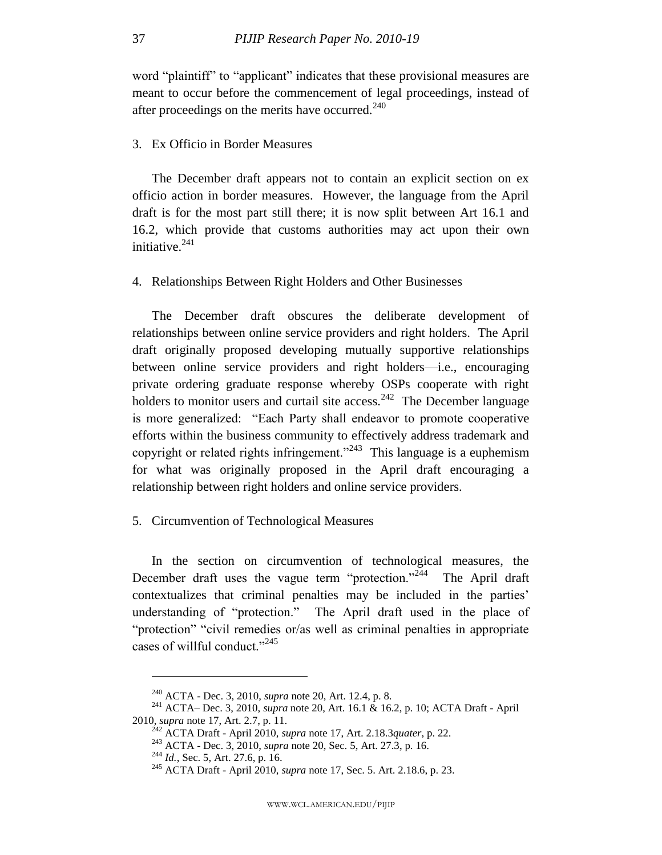word "plaintiff" to "applicant" indicates that these provisional measures are meant to occur before the commencement of legal proceedings, instead of after proceedings on the merits have occurred.<sup>240</sup>

## <span id="page-37-0"></span>3. Ex Officio in Border Measures

The December draft appears not to contain an explicit section on ex officio action in border measures. However, the language from the April draft is for the most part still there; it is now split between Art 16.1 and 16.2, which provide that customs authorities may act upon their own initiative. $241$ 

<span id="page-37-1"></span>4. Relationships Between Right Holders and Other Businesses

The December draft obscures the deliberate development of relationships between online service providers and right holders. The April draft originally proposed developing mutually supportive relationships between online service providers and right holders—i.e., encouraging private ordering graduate response whereby OSPs cooperate with right holders to monitor users and curtail site access.  $242$  The December language is more generalized: "Each Party shall endeavor to promote cooperative efforts within the business community to effectively address trademark and copyright or related rights infringement."<sup>243</sup> This language is a euphemism for what was originally proposed in the April draft encouraging a relationship between right holders and online service providers.

#### <span id="page-37-2"></span>5. Circumvention of Technological Measures

In the section on circumvention of technological measures, the December draft uses the vague term "protection."<sup>244</sup> The April draft contextualizes that criminal penalties may be included in the parties' understanding of "protection." The April draft used in the place of "protection" "civil remedies or/as well as criminal penalties in appropriate cases of willful conduct." $245$ 

<sup>240</sup> ACTA - Dec. 3, 2010, *supra* note [20,](#page-5-1) Art. 12.4, p. 8.

<sup>241</sup> ACTA– Dec. 3, 2010, *supra* note [20,](#page-5-1) Art. 16.1 & 16.2, p. 10; ACTA Draft - April 2010, *supra* note [17,](#page-5-3) Art. 2.7, p. 11.

<sup>242</sup> ACTA Draft - April 2010, *supra* note [17,](#page-5-3) Art. 2.18.3*quater*, p. 22.

<sup>243</sup> ACTA - Dec. 3, 2010, *supra* note [20,](#page-5-1) Sec. 5, Art. 27.3, p. 16.

<sup>244</sup> *Id.*, Sec. 5, Art. 27.6, p. 16.

<sup>245</sup> ACTA Draft - April 2010, *supra* note [17,](#page-5-3) Sec. 5. Art. 2.18.6, p. 23.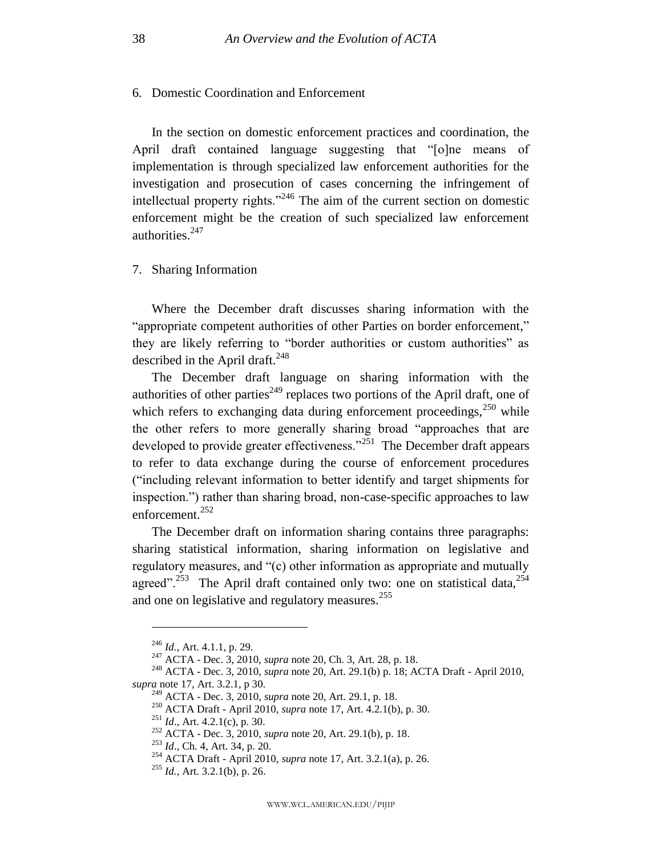## <span id="page-38-0"></span>6. Domestic Coordination and Enforcement

In the section on domestic enforcement practices and coordination, the April draft contained language suggesting that "[o]ne means of implementation is through specialized law enforcement authorities for the investigation and prosecution of cases concerning the infringement of intellectual property rights. $1246$  The aim of the current section on domestic enforcement might be the creation of such specialized law enforcement authorities.<sup>247</sup>

## <span id="page-38-1"></span>7. Sharing Information

Where the December draft discusses sharing information with the "appropriate competent authorities of other Parties on border enforcement," they are likely referring to "border authorities or custom authorities" as described in the April draft. $^{248}$ 

The December draft language on sharing information with the authorities of other parties<sup>249</sup> replaces two portions of the April draft, one of which refers to exchanging data during enforcement proceedings, $250$  while the other refers to more generally sharing broad "approaches that are developed to provide greater effectiveness."<sup>251</sup> The December draft appears to refer to data exchange during the course of enforcement procedures (―including relevant information to better identify and target shipments for inspection.") rather than sharing broad, non-case-specific approaches to law enforcement.<sup>252</sup>

The December draft on information sharing contains three paragraphs: sharing statistical information, sharing information on legislative and regulatory measures, and "(c) other information as appropriate and mutually agreed".<sup>253</sup> The April draft contained only two: one on statistical data,  $254$ and one on legislative and regulatory measures.<sup>255</sup>

<sup>246</sup> *Id.*, Art. 4.1.1, p. 29.

<sup>247</sup> ACTA - Dec. 3, 2010, *supra* note [20,](#page-5-1) Ch. 3, Art. 28, p. 18.

<sup>248</sup> ACTA - Dec. 3, 2010, *supra* note [20,](#page-5-1) Art. 29.1(b) p. 18; ACTA Draft - April 2010, *supra* note [17,](#page-5-3) Art. 3.2.1, p 30.

<sup>249</sup> ACTA - Dec. 3, 2010, *supra* note [20,](#page-5-1) Art. 29.1, p. 18.

<sup>250</sup> ACTA Draft - April 2010, *supra* note [17,](#page-5-3) Art. 4.2.1(b), p. 30.

<sup>251</sup> *Id*., Art. 4.2.1(c), p. 30.

<sup>252</sup> ACTA - Dec. 3, 2010, *supra* note [20,](#page-5-1) Art. 29.1(b), p. 18.

<sup>253</sup> *Id*., Ch. 4, Art. 34, p. 20.

<sup>254</sup> ACTA Draft - April 2010, *supra* note [17,](#page-5-3) Art. 3.2.1(a), p. 26.

<sup>255</sup> *Id.*, Art. 3.2.1(b), p. 26.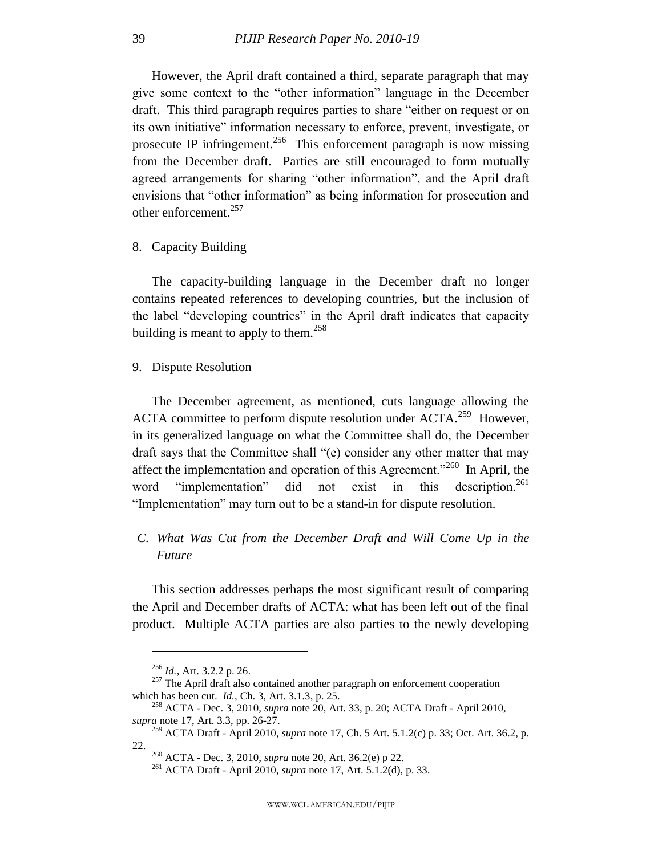However, the April draft contained a third, separate paragraph that may give some context to the "other information" language in the December draft. This third paragraph requires parties to share "either on request or on its own initiative" information necessary to enforce, prevent, investigate, or prosecute IP infringement.<sup>256</sup> This enforcement paragraph is now missing from the December draft. Parties are still encouraged to form mutually agreed arrangements for sharing "other information", and the April draft envisions that "other information" as being information for prosecution and other enforcement.<sup>257</sup>

<span id="page-39-0"></span>8. Capacity Building

The capacity-building language in the December draft no longer contains repeated references to developing countries, but the inclusion of the label "developing countries" in the April draft indicates that capacity building is meant to apply to them.<sup>258</sup>

<span id="page-39-1"></span>9. Dispute Resolution

The December agreement, as mentioned, cuts language allowing the ACTA committee to perform dispute resolution under ACTA.<sup>259</sup> However, in its generalized language on what the Committee shall do, the December draft says that the Committee shall "(e) consider any other matter that may affect the implementation and operation of this Agreement.<sup> $260$ </sup> In April, the word "implementation" did not exist in this description.<sup>261</sup> "Implementation" may turn out to be a stand-in for dispute resolution.

## <span id="page-39-2"></span>*C. What Was Cut from the December Draft and Will Come Up in the Future*

This section addresses perhaps the most significant result of comparing the April and December drafts of ACTA: what has been left out of the final product. Multiple ACTA parties are also parties to the newly developing

<sup>256</sup> *Id.*, Art. 3.2.2 p. 26.

 $257$  The April draft also contained another paragraph on enforcement cooperation which has been cut. *Id.*, Ch. 3, Art. 3.1.3, p. 25.

<sup>258</sup> ACTA - Dec. 3, 2010, *supra* note [20,](#page-5-1) Art. 33, p. 20; ACTA Draft - April 2010, *supra* note [17,](#page-5-3) Art. 3.3, pp. 26-27.

<sup>259</sup> ACTA Draft - April 2010, *supra* note [17,](#page-5-3) Ch. 5 Art. 5.1.2(c) p. 33; Oct. Art. 36.2, p. 22.

<sup>260</sup> ACTA - Dec. 3, 2010, *supra* note [20,](#page-5-1) Art. 36.2(e) p 22.

<sup>261</sup> ACTA Draft - April 2010, *supra* note [17,](#page-5-3) Art. 5.1.2(d), p. 33.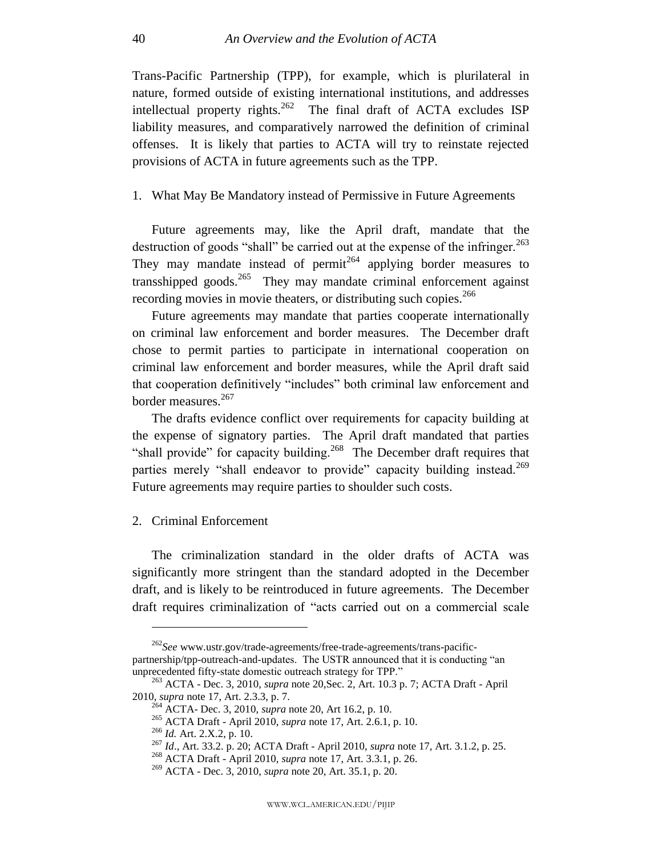Trans-Pacific Partnership (TPP), for example, which is plurilateral in nature, formed outside of existing international institutions, and addresses intellectual property rights.<sup>262</sup> The final draft of ACTA excludes ISP liability measures, and comparatively narrowed the definition of criminal offenses. It is likely that parties to ACTA will try to reinstate rejected provisions of ACTA in future agreements such as the TPP.

## <span id="page-40-0"></span>1. What May Be Mandatory instead of Permissive in Future Agreements

Future agreements may, like the April draft, mandate that the destruction of goods "shall" be carried out at the expense of the infringer.<sup>263</sup> They may mandate instead of permit<sup> $264$ </sup> applying border measures to transshipped goods.<sup>265</sup> They may mandate criminal enforcement against recording movies in movie theaters, or distributing such copies.<sup>266</sup>

Future agreements may mandate that parties cooperate internationally on criminal law enforcement and border measures. The December draft chose to permit parties to participate in international cooperation on criminal law enforcement and border measures, while the April draft said that cooperation definitively "includes" both criminal law enforcement and border measures.<sup>267</sup>

The drafts evidence conflict over requirements for capacity building at the expense of signatory parties. The April draft mandated that parties "shall provide" for capacity building.<sup>268</sup> The December draft requires that parties merely "shall endeavor to provide" capacity building instead.<sup>269</sup> Future agreements may require parties to shoulder such costs.

#### <span id="page-40-1"></span>2. Criminal Enforcement

 $\overline{a}$ 

The criminalization standard in the older drafts of ACTA was significantly more stringent than the standard adopted in the December draft, and is likely to be reintroduced in future agreements. The December draft requires criminalization of "acts carried out on a commercial scale

<sup>262</sup>*See* www.ustr.gov/trade-agreements/free-trade-agreements/trans-pacificpartnership/tpp-outreach-and-updates. The USTR announced that it is conducting "an unprecedented fifty-state domestic outreach strategy for TPP."

<sup>263</sup> ACTA - Dec. 3, 2010, *supra* note [20,S](#page-5-1)ec. 2, Art. 10.3 p. 7; ACTA Draft - April 2010, *supra* note [17,](#page-5-3) Art. 2.3.3, p. 7.

<sup>&</sup>lt;sup>4</sup> ACTA- Dec. 3, 2010, *supra* note 20, Art 16.2, p. 10.

<sup>265</sup> ACTA Draft - April 2010, *supra* note [17,](#page-5-3) Art. 2.6.1, p. 10.

<sup>266</sup> *Id.* Art. 2.X.2, p. 10.

<sup>267</sup> *Id*., Art. 33.2. p. 20; ACTA Draft - April 2010, *supra* not[e 17,](#page-5-3) Art. 3.1.2, p. 25.

<sup>268</sup> ACTA Draft - April 2010, *supra* note [17,](#page-5-3) Art. 3.3.1, p. 26.

<sup>269</sup> ACTA - Dec. 3, 2010, *supra* note [20,](#page-5-1) Art. 35.1, p. 20.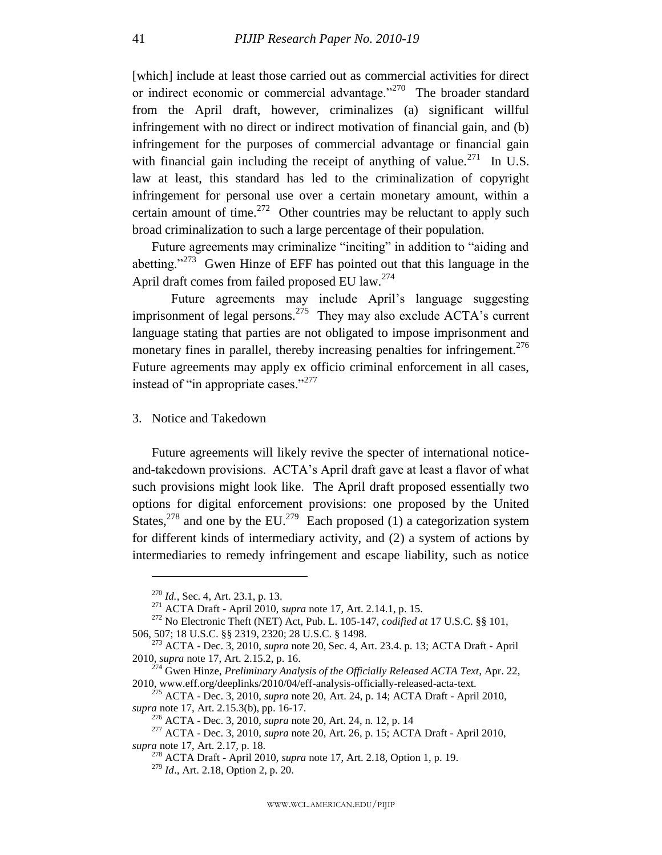[which] include at least those carried out as commercial activities for direct or indirect economic or commercial advantage. $1270$  The broader standard from the April draft, however, criminalizes (a) significant willful infringement with no direct or indirect motivation of financial gain, and (b) infringement for the purposes of commercial advantage or financial gain with financial gain including the receipt of anything of value.<sup>271</sup> In U.S. law at least, this standard has led to the criminalization of copyright infringement for personal use over a certain monetary amount, within a certain amount of time.<sup>272</sup> Other countries may be reluctant to apply such broad criminalization to such a large percentage of their population.

Future agreements may criminalize "inciting" in addition to "aiding and abetting."<sup>273</sup> Gwen Hinze of EFF has pointed out that this language in the April draft comes from failed proposed EU law.<sup>274</sup>

Future agreements may include April's language suggesting imprisonment of legal persons.<sup>275</sup> They may also exclude ACTA's current language stating that parties are not obligated to impose imprisonment and monetary fines in parallel, thereby increasing penalties for infringement.<sup>276</sup> Future agreements may apply ex officio criminal enforcement in all cases, instead of "in appropriate cases."<sup>277</sup>

<span id="page-41-0"></span>3. Notice and Takedown

Future agreements will likely revive the specter of international noticeand-takedown provisions. ACTA's April draft gave at least a flavor of what such provisions might look like. The April draft proposed essentially two options for digital enforcement provisions: one proposed by the United States,<sup>278</sup> and one by the EU.<sup>279</sup> Each proposed (1) a categorization system for different kinds of intermediary activity, and (2) a system of actions by intermediaries to remedy infringement and escape liability, such as notice

<sup>270</sup> *Id.*, Sec. 4, Art. 23.1, p. 13.

<sup>271</sup> ACTA Draft - April 2010, *supra* note [17,](#page-5-3) Art. 2.14.1, p. 15.

<sup>272</sup> No Electronic Theft (NET) Act, Pub. L. 105-147, *codified at* 17 U.S.C. §§ 101, 506, 507; 18 U.S.C. §§ 2319, 2320; 28 U.S.C. § 1498.

<sup>273</sup> ACTA - Dec. 3, 2010, *supra* note [20,](#page-5-1) Sec. 4, Art. 23.4. p. 13; ACTA Draft - April 2010, *supra* note [17,](#page-5-3) Art. 2.15.2, p. 16.

<sup>274</sup> Gwen Hinze, *Preliminary Analysis of the Officially Released ACTA Text*, Apr. 22, 2010, www.eff.org/deeplinks/2010/04/eff-analysis-officially-released-acta-text.

<sup>275</sup> ACTA - Dec. 3, 2010, *supra* note [20,](#page-5-1) Art. 24, p. 14; ACTA Draft - April 2010, *supra* note [17,](#page-5-3) Art. 2.15.3(b), pp. 16-17.

<sup>276</sup> ACTA - Dec. 3, 2010, *supra* note [20,](#page-5-1) Art. 24, n. 12, p. 14

<sup>277</sup> ACTA - Dec. 3, 2010, *supra* note [20,](#page-5-1) Art. 26, p. 15; ACTA Draft - April 2010, *supra* note [17,](#page-5-3) Art. 2.17, p. 18.

<sup>278</sup> ACTA Draft - April 2010, *supra* note [17,](#page-5-3) Art. 2.18, Option 1, p. 19.

<sup>279</sup> *Id*., Art. 2.18, Option 2, p. 20.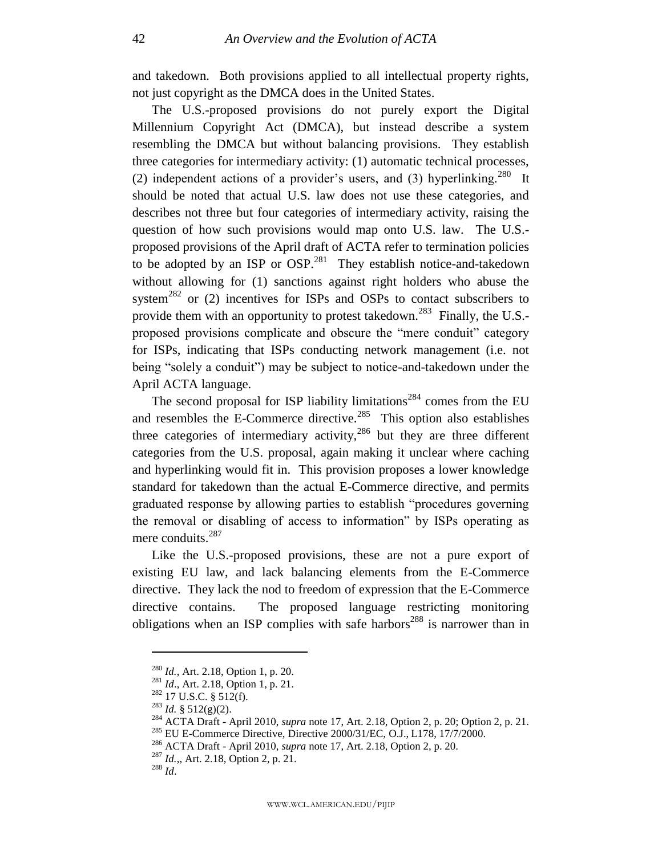and takedown. Both provisions applied to all intellectual property rights, not just copyright as the DMCA does in the United States.

The U.S.-proposed provisions do not purely export the Digital Millennium Copyright Act (DMCA), but instead describe a system resembling the DMCA but without balancing provisions. They establish three categories for intermediary activity: (1) automatic technical processes, (2) independent actions of a provider's users, and (3) hyperlinking.<sup>280</sup> It should be noted that actual U.S. law does not use these categories, and describes not three but four categories of intermediary activity, raising the question of how such provisions would map onto U.S. law. The U.S. proposed provisions of the April draft of ACTA refer to termination policies to be adopted by an ISP or  $OSP<sup>.281</sup>$  They establish notice-and-takedown without allowing for (1) sanctions against right holders who abuse the system<sup>282</sup> or (2) incentives for ISPs and OSPs to contact subscribers to provide them with an opportunity to protest takedown.<sup>283</sup> Finally, the U.S.proposed provisions complicate and obscure the "mere conduit" category for ISPs, indicating that ISPs conducting network management (i.e. not being "solely a conduit") may be subject to notice-and-takedown under the April ACTA language.

<span id="page-42-0"></span>The second proposal for ISP liability limitations<sup>284</sup> comes from the EU and resembles the E-Commerce directive.<sup>285</sup> This option also establishes three categories of intermediary activity,<sup>286</sup> but they are three different categories from the U.S. proposal, again making it unclear where caching and hyperlinking would fit in. This provision proposes a lower knowledge standard for takedown than the actual E-Commerce directive, and permits graduated response by allowing parties to establish "procedures governing the removal or disabling of access to information" by ISPs operating as mere conduits.<sup>287</sup>

Like the U.S.-proposed provisions, these are not a pure export of existing EU law, and lack balancing elements from the E-Commerce directive. They lack the nod to freedom of expression that the E-Commerce directive contains. The proposed language restricting monitoring obligations when an ISP complies with safe harbors<sup>288</sup> is narrower than in

<sup>280</sup> *Id.*, Art. 2.18, Option 1, p. 20.

<sup>281</sup> *Id*., Art. 2.18, Option 1, p. 21.

<sup>282</sup> 17 U.S.C. § 512(f).

 $^{283}$  *Id.* § 512(g)(2).

<sup>284</sup> ACTA Draft - April 2010, *supra* note [17,](#page-5-3) Art. 2.18, Option 2, p. 20; Option 2, p. 21.

<sup>285</sup> EU E-Commerce Directive, Directive 2000/31/EC, O.J., L178, 17/7/2000.

<sup>286</sup> ACTA Draft - April 2010, *supra* note [17,](#page-5-3) Art. 2.18, Option 2, p. 20.

<sup>287</sup> *Id.*,, Art. 2.18, Option 2, p. 21.

<sup>288</sup> *Id*.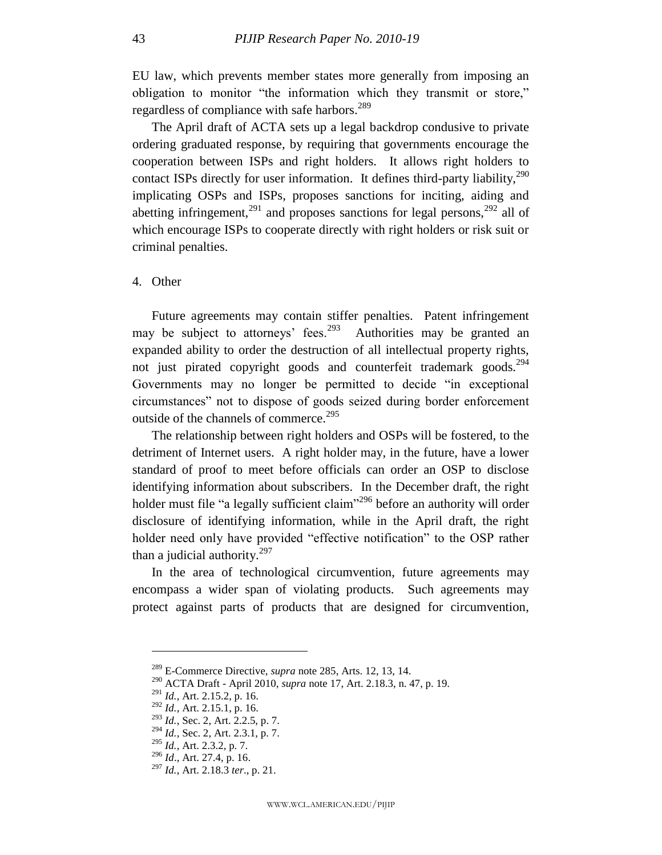EU law, which prevents member states more generally from imposing an obligation to monitor "the information which they transmit or store," regardless of compliance with safe harbors.<sup>289</sup>

The April draft of ACTA sets up a legal backdrop condusive to private ordering graduated response, by requiring that governments encourage the cooperation between ISPs and right holders. It allows right holders to contact ISPs directly for user information. It defines third-party liability,<sup>290</sup> implicating OSPs and ISPs, proposes sanctions for inciting, aiding and abetting infringement,<sup>291</sup> and proposes sanctions for legal persons,<sup>292</sup> all of which encourage ISPs to cooperate directly with right holders or risk suit or criminal penalties.

<span id="page-43-0"></span>4. Other

Future agreements may contain stiffer penalties. Patent infringement may be subject to attorneys' fees.<sup>293</sup> Authorities may be granted an expanded ability to order the destruction of all intellectual property rights, not just pirated copyright goods and counterfeit trademark goods.<sup>294</sup> Governments may no longer be permitted to decide "in exceptional circumstances‖ not to dispose of goods seized during border enforcement outside of the channels of commerce.<sup>295</sup>

The relationship between right holders and OSPs will be fostered, to the detriment of Internet users. A right holder may, in the future, have a lower standard of proof to meet before officials can order an OSP to disclose identifying information about subscribers. In the December draft, the right holder must file "a legally sufficient claim"<sup>296</sup> before an authority will order disclosure of identifying information, while in the April draft, the right holder need only have provided "effective notification" to the OSP rather than a judicial authority. $297$ 

In the area of technological circumvention, future agreements may encompass a wider span of violating products. Such agreements may protect against parts of products that are designed for circumvention,

<sup>289</sup> E-Commerce Directive, *supra* not[e 285,](#page-42-0) Arts. 12, 13, 14.

<sup>290</sup> ACTA Draft - April 2010, *supra* note [17,](#page-5-3) Art. 2.18.3, n. 47, p. 19.

<sup>291</sup> *Id.*, Art. 2.15.2, p. 16.

<sup>292</sup> *Id.*, Art. 2.15.1, p. 16.

<sup>293</sup> *Id.*, Sec. 2, Art. 2.2.5, p. 7.

<sup>294</sup> *Id.*, Sec. 2, Art. 2.3.1, p. 7.

<sup>295</sup> *Id.*, Art. 2.3.2, p. 7.

<sup>296</sup> *Id*., Art. 27.4, p. 16.

<sup>297</sup> *Id.*, Art. 2.18.3 *ter*., p. 21.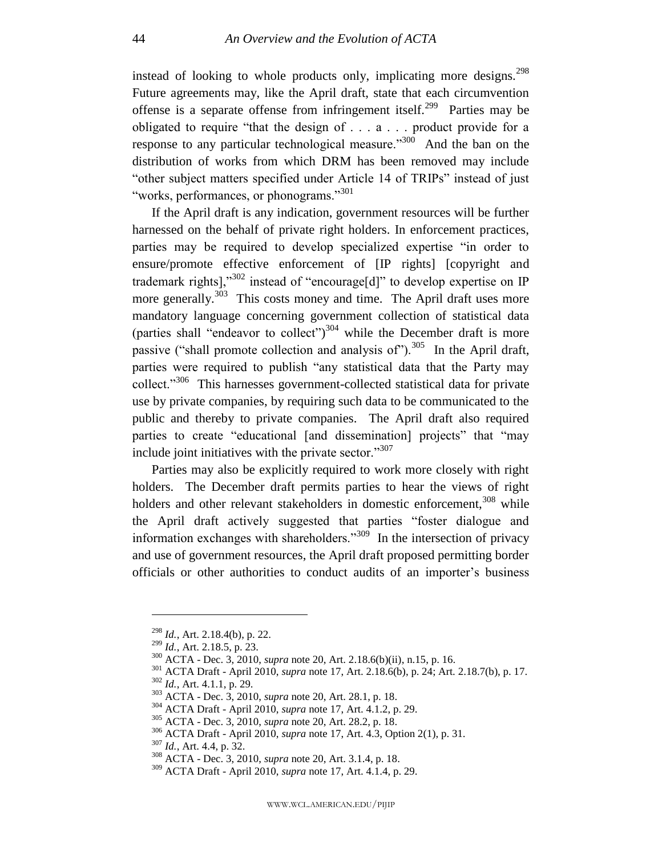instead of looking to whole products only, implicating more designs.<sup>298</sup> Future agreements may, like the April draft, state that each circumvention offense is a separate offense from infringement itself.<sup>299</sup> Parties may be obligated to require "that the design of  $\dots$  a  $\dots$  product provide for a response to any particular technological measure. $\frac{300}{200}$  And the ban on the distribution of works from which DRM has been removed may include "other subject matters specified under Article 14 of TRIPs" instead of just "works, performances, or phonograms."<sup>301</sup>

If the April draft is any indication, government resources will be further harnessed on the behalf of private right holders. In enforcement practices, parties may be required to develop specialized expertise "in order to ensure/promote effective enforcement of [IP rights] [copyright and trademark rights]," $302$  instead of "encourage[d]" to develop expertise on IP more generally.<sup>303</sup> This costs money and time. The April draft uses more mandatory language concerning government collection of statistical data (parties shall "endeavor to collect")<sup>304</sup> while the December draft is more passive ("shall promote collection and analysis of").<sup>305</sup> In the April draft, parties were required to publish "any statistical data that the Party may collect."<sup>306</sup> This harnesses government-collected statistical data for private use by private companies, by requiring such data to be communicated to the public and thereby to private companies. The April draft also required parties to create "educational [and dissemination] projects" that "may include joint initiatives with the private sector. $\cdot$ <sup>307</sup>

Parties may also be explicitly required to work more closely with right holders. The December draft permits parties to hear the views of right holders and other relevant stakeholders in domestic enforcement,<sup>308</sup> while the April draft actively suggested that parties "foster dialogue and information exchanges with shareholders.<sup>309</sup> In the intersection of privacy and use of government resources, the April draft proposed permitting border officials or other authorities to conduct audits of an importer's business

<sup>298</sup> *Id.*, Art. 2.18.4(b), p. 22.

<sup>299</sup> *Id.*, Art. 2.18.5, p. 23.

<sup>300</sup> ACTA - Dec. 3, 2010, *supra* note [20,](#page-5-1) Art. 2.18.6(b)(ii), n.15, p. 16.

<sup>301</sup> ACTA Draft - April 2010, *supra* note [17,](#page-5-3) Art. 2.18.6(b), p. 24; Art. 2.18.7(b), p. 17.

<sup>302</sup> *Id.*, Art. 4.1.1, p. 29.

<sup>303</sup> ACTA - Dec. 3, 2010, *supra* note [20,](#page-5-1) Art. 28.1, p. 18.

<sup>304</sup> ACTA Draft - April 2010, *supra* note [17,](#page-5-3) Art. 4.1.2, p. 29.

<sup>305</sup> ACTA - Dec. 3, 2010, *supra* note [20,](#page-5-1) Art. 28.2, p. 18.

<sup>306</sup> ACTA Draft - April 2010, *supra* note [17,](#page-5-3) Art. 4.3, Option 2(1), p. 31.

<sup>307</sup> *Id.*, Art. 4.4, p. 32.

<sup>308</sup> ACTA - Dec. 3, 2010, *supra* note [20,](#page-5-1) Art. 3.1.4, p. 18.

<sup>309</sup> ACTA Draft - April 2010, *supra* note [17,](#page-5-3) Art. 4.1.4, p. 29.